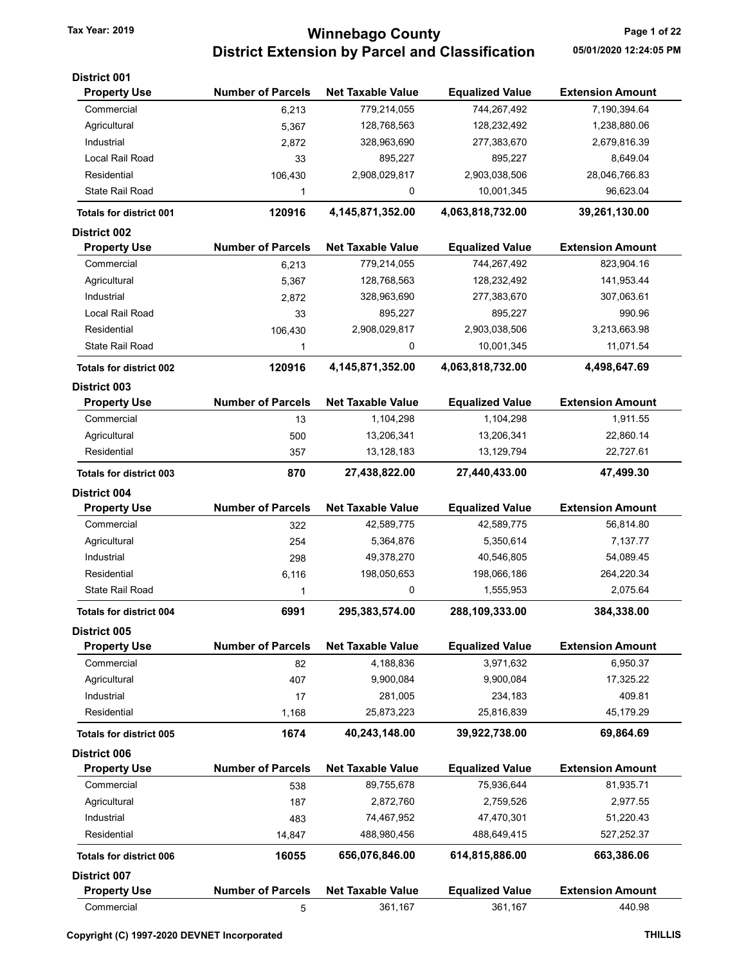## Tax Year: 2019 **Tax Year: 2019** Page 1 of 22 District Extension by Parcel and Classification 05/01/2020 12:24:05 PM

| District 001                   |                          |                          |                        |                         |
|--------------------------------|--------------------------|--------------------------|------------------------|-------------------------|
| <b>Property Use</b>            | <b>Number of Parcels</b> | <b>Net Taxable Value</b> | <b>Equalized Value</b> | <b>Extension Amount</b> |
| Commercial                     | 6,213                    | 779,214,055              | 744,267,492            | 7,190,394.64            |
| Agricultural                   | 5,367                    | 128,768,563              | 128,232,492            | 1,238,880.06            |
| Industrial                     | 2,872                    | 328,963,690              | 277,383,670            | 2,679,816.39            |
| Local Rail Road                | 33                       | 895,227                  | 895,227                | 8,649.04                |
| Residential                    | 106,430                  | 2,908,029,817            | 2,903,038,506          | 28,046,766.83           |
| State Rail Road                | 1                        | 0                        | 10,001,345             | 96,623.04               |
| <b>Totals for district 001</b> | 120916                   | 4,145,871,352.00         | 4,063,818,732.00       | 39,261,130.00           |
| <b>District 002</b>            |                          |                          |                        |                         |
| <b>Property Use</b>            | <b>Number of Parcels</b> | <b>Net Taxable Value</b> | <b>Equalized Value</b> | <b>Extension Amount</b> |
| Commercial                     | 6,213                    | 779,214,055              | 744,267,492            | 823,904.16              |
| Agricultural                   | 5,367                    | 128,768,563              | 128,232,492            | 141,953.44              |
| Industrial                     | 2,872                    | 328,963,690              | 277,383,670            | 307,063.61              |
| Local Rail Road                | 33                       | 895,227                  | 895,227                | 990.96                  |
| Residential                    | 106,430                  | 2,908,029,817            | 2,903,038,506          | 3,213,663.98            |
| State Rail Road                | 1                        | 0                        | 10,001,345             | 11,071.54               |
| <b>Totals for district 002</b> | 120916                   | 4,145,871,352.00         | 4,063,818,732.00       | 4,498,647.69            |
| <b>District 003</b>            |                          |                          |                        |                         |
| <b>Property Use</b>            | <b>Number of Parcels</b> | <b>Net Taxable Value</b> | <b>Equalized Value</b> | <b>Extension Amount</b> |
| Commercial                     | 13                       | 1,104,298                | 1,104,298              | 1,911.55                |
| Agricultural                   | 500                      | 13,206,341               | 13,206,341             | 22,860.14               |
| Residential                    | 357                      | 13,128,183               | 13,129,794             | 22,727.61               |
| <b>Totals for district 003</b> | 870                      | 27,438,822.00            | 27,440,433.00          | 47,499.30               |
| <b>District 004</b>            |                          |                          |                        |                         |
| <b>Property Use</b>            | <b>Number of Parcels</b> | <b>Net Taxable Value</b> | <b>Equalized Value</b> | <b>Extension Amount</b> |
| Commercial                     | 322                      | 42,589,775               | 42,589,775             | 56,814.80               |
| Agricultural                   | 254                      | 5,364,876                | 5,350,614              | 7,137.77                |
| Industrial                     | 298                      | 49,378,270               | 40,546,805             | 54,089.45               |
| Residential                    | 6,116                    | 198,050,653              | 198,066,186            | 264,220.34              |
| <b>State Rail Road</b>         | 1                        | 0                        | 1,555,953              | 2,075.64                |
| Totals for district 004        | 6991                     | 295,383,574.00           | 288,109,333.00         | 384.338.00              |
| <b>District 005</b>            |                          |                          |                        |                         |
| <b>Property Use</b>            | <b>Number of Parcels</b> | <b>Net Taxable Value</b> | <b>Equalized Value</b> | <b>Extension Amount</b> |
| Commercial                     | 82                       | 4,188,836                | 3,971,632              | 6,950.37                |
| Agricultural                   | 407                      | 9,900,084                | 9,900,084              | 17,325.22               |
| Industrial                     | 17                       | 281,005                  | 234,183                | 409.81                  |
| Residential                    | 1,168                    | 25,873,223               | 25,816,839             | 45,179.29               |
| <b>Totals for district 005</b> | 1674                     | 40,243,148.00            | 39,922,738.00          | 69,864.69               |
| District 006                   |                          |                          |                        |                         |
| <b>Property Use</b>            | <b>Number of Parcels</b> | <b>Net Taxable Value</b> | <b>Equalized Value</b> | <b>Extension Amount</b> |
| Commercial                     | 538                      | 89,755,678               | 75,936,644             | 81,935.71               |
| Agricultural                   | 187                      | 2,872,760                | 2,759,526              | 2,977.55                |
| Industrial                     | 483                      | 74,467,952               | 47,470,301             | 51,220.43               |
| Residential                    | 14,847                   | 488,980,456              | 488,649,415            | 527,252.37              |
| <b>Totals for district 006</b> | 16055                    | 656,076,846.00           | 614,815,886.00         | 663,386.06              |
| <b>District 007</b>            |                          |                          |                        |                         |
| <b>Property Use</b>            | <b>Number of Parcels</b> | <b>Net Taxable Value</b> | <b>Equalized Value</b> | <b>Extension Amount</b> |
| Commercial                     | 5                        | 361,167                  | 361,167                | 440.98                  |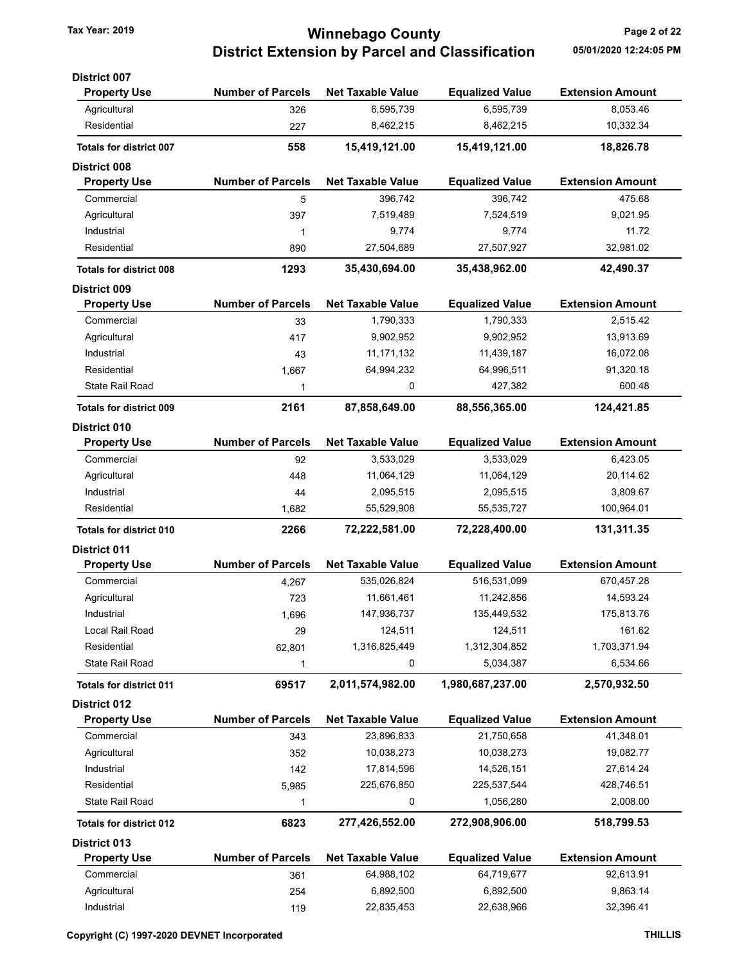### Tax Year: 2019 **Tax Year: 2019** Page 2 of 22 District Extension by Parcel and Classification 05/01/2020 12:24:05 PM

| <b>District 007</b>                        |                          |                          |                        |                         |
|--------------------------------------------|--------------------------|--------------------------|------------------------|-------------------------|
| <b>Property Use</b>                        | <b>Number of Parcels</b> | <b>Net Taxable Value</b> | <b>Equalized Value</b> | <b>Extension Amount</b> |
| Agricultural                               | 326                      | 6,595,739                | 6,595,739              | 8,053.46                |
| Residential                                | 227                      | 8,462,215                | 8,462,215              | 10,332.34               |
| <b>Totals for district 007</b>             | 558                      | 15,419,121.00            | 15,419,121.00          | 18,826.78               |
| <b>District 008</b>                        |                          |                          |                        |                         |
| <b>Property Use</b>                        | <b>Number of Parcels</b> | <b>Net Taxable Value</b> | <b>Equalized Value</b> | <b>Extension Amount</b> |
| Commercial                                 | 5                        | 396,742                  | 396,742                | 475.68                  |
| Agricultural                               | 397                      | 7,519,489                | 7,524,519              | 9,021.95                |
| Industrial                                 | 1                        | 9,774                    | 9,774                  | 11.72                   |
| Residential                                | 890                      | 27,504,689               | 27,507,927             | 32,981.02               |
| <b>Totals for district 008</b>             | 1293                     | 35,430,694.00            | 35,438,962.00          | 42,490.37               |
| <b>District 009</b>                        |                          |                          |                        |                         |
| <b>Property Use</b>                        | <b>Number of Parcels</b> | <b>Net Taxable Value</b> | <b>Equalized Value</b> | <b>Extension Amount</b> |
| Commercial                                 | 33                       | 1,790,333                | 1,790,333              | 2,515.42                |
| Agricultural                               | 417                      | 9,902,952                | 9,902,952              | 13,913.69               |
| Industrial                                 | 43                       | 11, 171, 132             | 11,439,187             | 16,072.08               |
| Residential                                | 1,667                    | 64,994,232               | 64,996,511             | 91,320.18               |
| State Rail Road                            | 1                        | 0                        | 427,382                | 600.48                  |
| <b>Totals for district 009</b>             | 2161                     | 87,858,649.00            | 88,556,365.00          | 124,421.85              |
| <b>District 010</b>                        |                          |                          |                        |                         |
| <b>Property Use</b>                        | <b>Number of Parcels</b> | <b>Net Taxable Value</b> | <b>Equalized Value</b> | <b>Extension Amount</b> |
| Commercial                                 | 92                       | 3,533,029                | 3,533,029              | 6,423.05                |
| Agricultural                               | 448                      | 11,064,129               | 11,064,129             | 20,114.62               |
| Industrial                                 | 44                       | 2,095,515                | 2,095,515              | 3,809.67                |
| Residential                                | 1,682                    | 55,529,908               | 55,535,727             | 100,964.01              |
| <b>Totals for district 010</b>             | 2266                     | 72,222,581.00            | 72,228,400.00          | 131,311.35              |
| <b>District 011</b>                        |                          |                          |                        |                         |
| <b>Property Use</b>                        | <b>Number of Parcels</b> | <b>Net Taxable Value</b> | <b>Equalized Value</b> | <b>Extension Amount</b> |
| Commercial                                 | 4,267                    | 535,026,824              | 516,531,099            | 670,457.28              |
| Agricultural                               | 723                      | 11,661,461               | 11,242,856             | 14,593.24               |
| Industrial                                 | 1,696                    | 147,936,737              | 135,449,532            | 175,813.76              |
| Local Rail Road                            | 29                       | 124,511                  | 124,511                | 161.62                  |
| Residential                                | 62,801                   | 1,316,825,449            | 1,312,304,852          | 1,703,371.94            |
| State Rail Road                            | 1                        | 0                        | 5,034,387              | 6,534.66                |
| <b>Totals for district 011</b>             | 69517                    | 2,011,574,982.00         | 1,980,687,237.00       | 2,570,932.50            |
| <b>District 012</b>                        |                          |                          |                        |                         |
| <b>Property Use</b>                        | <b>Number of Parcels</b> | <b>Net Taxable Value</b> | <b>Equalized Value</b> | <b>Extension Amount</b> |
| Commercial                                 | 343                      | 23,896,833               | 21,750,658             | 41,348.01               |
| Agricultural                               | 352                      | 10,038,273               | 10,038,273             | 19,082.77               |
| Industrial                                 | 142                      | 17,814,596               | 14,526,151             | 27,614.24               |
| Residential                                | 5,985                    | 225,676,850              | 225,537,544            | 428,746.51              |
| <b>State Rail Road</b>                     | 1                        | 0                        | 1,056,280              | 2,008.00                |
| <b>Totals for district 012</b>             | 6823                     | 277,426,552.00           | 272,908,906.00         | 518,799.53              |
|                                            |                          |                          |                        |                         |
| <b>District 013</b><br><b>Property Use</b> | <b>Number of Parcels</b> | <b>Net Taxable Value</b> | <b>Equalized Value</b> | <b>Extension Amount</b> |
| Commercial                                 | 361                      | 64,988,102               | 64,719,677             | 92,613.91               |
| Agricultural                               | 254                      | 6,892,500                | 6,892,500              | 9,863.14                |
|                                            |                          |                          |                        |                         |

Industrial 119 22,835,453 22,638,966 32,396.41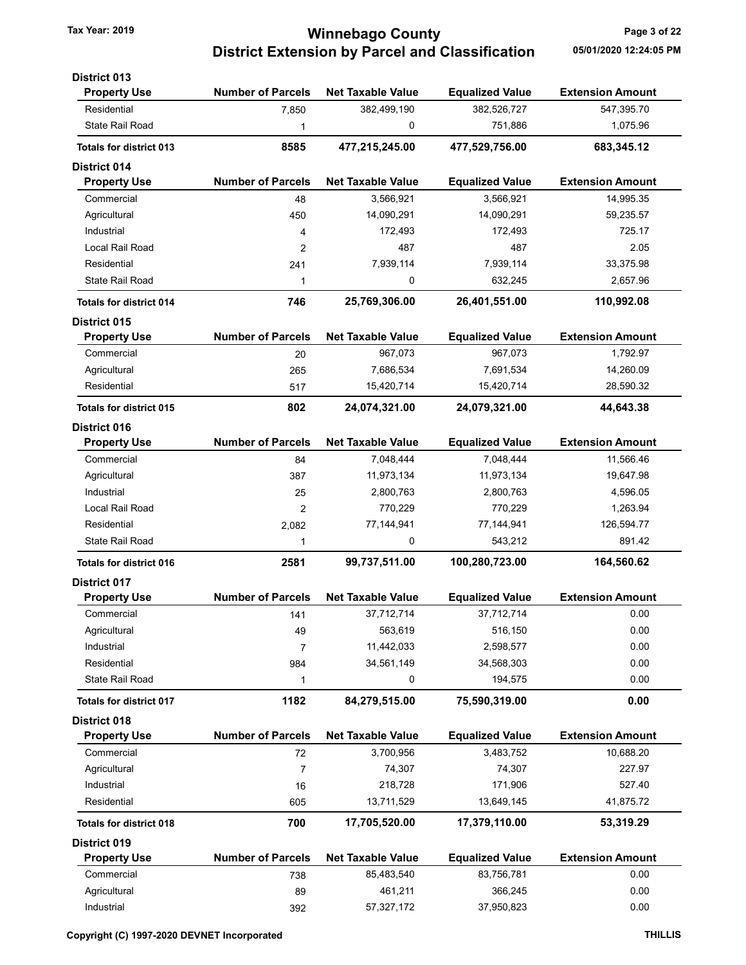## Tax Year: 2019 **Tax Year: 2019** Page 3 of 22 District Extension by Parcel and Classification 05/01/2020 12:24:05 PM

| <b>District 013</b>            |                          |                          |                        |                         |
|--------------------------------|--------------------------|--------------------------|------------------------|-------------------------|
| <b>Property Use</b>            | <b>Number of Parcels</b> | <b>Net Taxable Value</b> | <b>Equalized Value</b> | <b>Extension Amount</b> |
| Residential                    | 7,850                    | 382,499,190              | 382,526,727            | 547,395.70              |
| State Rail Road                | 1                        | 0                        | 751,886                | 1,075.96                |
| <b>Totals for district 013</b> | 8585                     | 477,215,245.00           | 477,529,756.00         | 683,345.12              |
| <b>District 014</b>            |                          |                          |                        |                         |
| <b>Property Use</b>            | <b>Number of Parcels</b> | <b>Net Taxable Value</b> | <b>Equalized Value</b> | <b>Extension Amount</b> |
| Commercial                     | 48                       | 3,566,921                | 3,566,921              | 14,995.35               |
| Agricultural                   | 450                      | 14,090,291               | 14,090,291             | 59,235.57               |
| Industrial                     | 4                        | 172,493                  | 172,493                | 725.17                  |
| Local Rail Road                | $\overline{2}$           | 487                      | 487                    | 2.05                    |
| Residential                    | 241                      | 7,939,114                | 7,939,114              | 33,375.98               |
| <b>State Rail Road</b>         | 1                        | 0                        | 632,245                | 2,657.96                |
| <b>Totals for district 014</b> | 746                      | 25,769,306.00            | 26,401,551.00          | 110,992.08              |
| <b>District 015</b>            |                          |                          |                        |                         |
| <b>Property Use</b>            | <b>Number of Parcels</b> | <b>Net Taxable Value</b> | <b>Equalized Value</b> | <b>Extension Amount</b> |
| Commercial                     | 20                       | 967,073                  | 967,073                | 1,792.97                |
| Agricultural                   | 265                      | 7,686,534                | 7,691,534              | 14,260.09               |
| Residential                    | 517                      | 15,420,714               | 15,420,714             | 28,590.32               |
| <b>Totals for district 015</b> | 802                      | 24,074,321.00            | 24,079,321.00          | 44,643.38               |
| <b>District 016</b>            |                          |                          |                        |                         |
| <b>Property Use</b>            | <b>Number of Parcels</b> | <b>Net Taxable Value</b> | <b>Equalized Value</b> | <b>Extension Amount</b> |
| Commercial                     | 84                       | 7,048,444                | 7,048,444              | 11,566.46               |
| Agricultural                   | 387                      | 11,973,134               | 11,973,134             | 19,647.98               |
| Industrial                     | 25                       | 2,800,763                | 2,800,763              | 4,596.05                |
| Local Rail Road                | 2                        | 770,229                  | 770,229                | 1,263.94                |
| Residential                    | 2,082                    | 77,144,941               | 77,144,941             | 126,594.77              |
| State Rail Road                | 1                        | 0                        | 543,212                | 891.42                  |
| <b>Totals for district 016</b> | 2581                     | 99,737,511.00            | 100,280,723.00         | 164,560.62              |
| <b>District 017</b>            |                          |                          |                        |                         |
| <b>Property Use</b>            | <b>Number of Parcels</b> | <b>Net Taxable Value</b> | <b>Equalized Value</b> | <b>Extension Amount</b> |
| Commercial                     | 141                      | 37.712.714               | 37,712,714             | 0.00                    |
| Agricultural                   | 49                       | 563,619                  | 516,150                | 0.00                    |
| Industrial                     | $\overline{7}$           | 11,442,033               | 2,598,577              | 0.00                    |
| Residential                    | 984                      | 34,561,149               | 34,568,303             | 0.00                    |
| State Rail Road                | 1                        | 0                        | 194,575                | 0.00                    |
| <b>Totals for district 017</b> | 1182                     | 84,279,515.00            | 75,590,319.00          | 0.00                    |
| District 018                   |                          |                          |                        |                         |
| <b>Property Use</b>            | <b>Number of Parcels</b> | <b>Net Taxable Value</b> | <b>Equalized Value</b> | <b>Extension Amount</b> |
| Commercial                     | 72                       | 3,700,956                | 3,483,752              | 10,688.20               |
| Agricultural                   | 7                        | 74,307                   | 74,307                 | 227.97                  |
| Industrial                     | 16                       | 218,728                  | 171,906                | 527.40                  |
| Residential                    | 605                      | 13,711,529               | 13,649,145             | 41,875.72               |
| <b>Totals for district 018</b> | 700                      | 17,705,520.00            | 17,379,110.00          | 53,319.29               |
| District 019                   |                          |                          |                        |                         |
| <b>Property Use</b>            | <b>Number of Parcels</b> | <b>Net Taxable Value</b> | <b>Equalized Value</b> | <b>Extension Amount</b> |
| Commercial                     | 738                      | 85,483,540               | 83,756,781             | 0.00                    |
| Agricultural                   | 89                       | 461,211                  | 366,245                | 0.00                    |
| Industrial                     | 392                      | 57,327,172               | 37,950,823             | 0.00                    |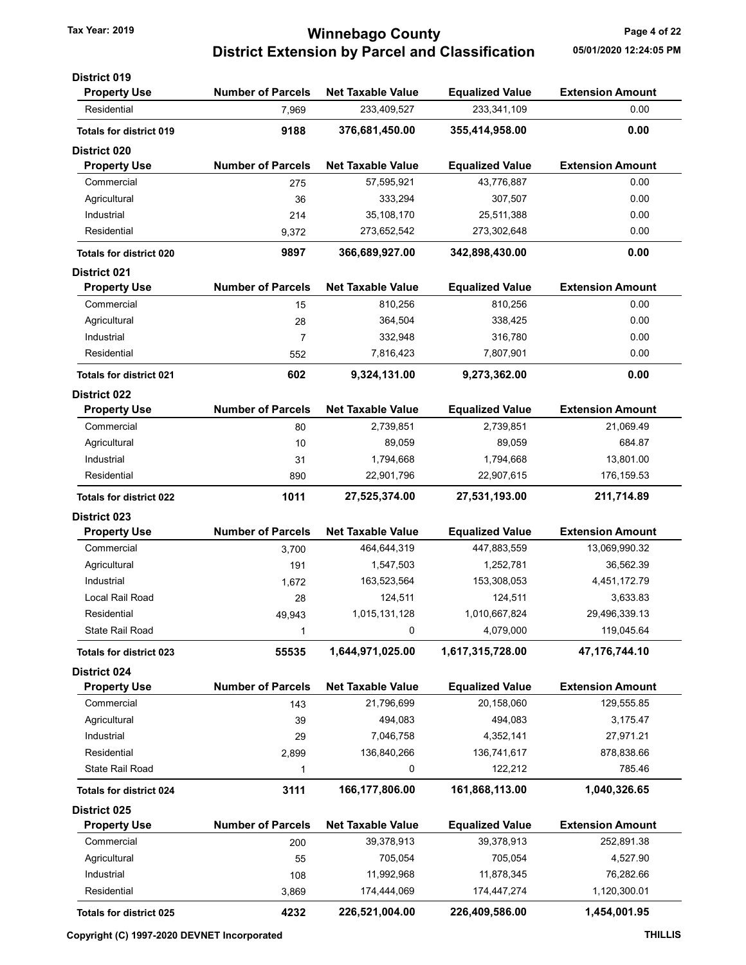### Tax Year: 2019 **Tax Year: 2019** Page 4 of 22 District Extension by Parcel and Classification 05/01/2020 12:24:05 PM

| <b>District 019</b>            |                          |                          |                        |                         |
|--------------------------------|--------------------------|--------------------------|------------------------|-------------------------|
| <b>Property Use</b>            | <b>Number of Parcels</b> | <b>Net Taxable Value</b> | <b>Equalized Value</b> | <b>Extension Amount</b> |
| Residential                    | 7,969                    | 233,409,527              | 233,341,109            | 0.00                    |
| <b>Totals for district 019</b> | 9188                     | 376,681,450.00           | 355,414,958.00         | 0.00                    |
| District 020                   |                          |                          |                        |                         |
| <b>Property Use</b>            | <b>Number of Parcels</b> | <b>Net Taxable Value</b> | <b>Equalized Value</b> | <b>Extension Amount</b> |
| Commercial                     | 275                      | 57,595,921               | 43,776,887             | 0.00                    |
| Agricultural                   | 36                       | 333,294                  | 307,507                | 0.00                    |
| Industrial                     | 214                      | 35,108,170               | 25,511,388             | 0.00                    |
| Residential                    | 9,372                    | 273,652,542              | 273,302,648            | 0.00                    |
| <b>Totals for district 020</b> | 9897                     | 366,689,927.00           | 342,898,430.00         | 0.00                    |
| <b>District 021</b>            |                          |                          |                        |                         |
| <b>Property Use</b>            | <b>Number of Parcels</b> | <b>Net Taxable Value</b> | <b>Equalized Value</b> | <b>Extension Amount</b> |
| Commercial                     | 15                       | 810,256                  | 810,256                | 0.00                    |
| Agricultural                   | 28                       | 364,504                  | 338,425                | 0.00                    |
| Industrial                     | $\overline{7}$           | 332,948                  | 316,780                | 0.00                    |
| Residential                    | 552                      | 7,816,423                | 7,807,901              | 0.00                    |
| <b>Totals for district 021</b> | 602                      | 9,324,131.00             | 9,273,362.00           | 0.00                    |
| <b>District 022</b>            |                          |                          |                        |                         |
| <b>Property Use</b>            | <b>Number of Parcels</b> | <b>Net Taxable Value</b> | <b>Equalized Value</b> | <b>Extension Amount</b> |
| Commercial                     | 80                       | 2,739,851                | 2,739,851              | 21,069.49               |
| Agricultural                   | 10                       | 89,059                   | 89,059                 | 684.87                  |
| Industrial                     | 31                       | 1,794,668                | 1,794,668              | 13,801.00               |
| Residential                    | 890                      | 22,901,796               | 22,907,615             | 176, 159.53             |
| <b>Totals for district 022</b> | 1011                     | 27,525,374.00            | 27,531,193.00          | 211,714.89              |
| District 023                   |                          |                          |                        |                         |
| <b>Property Use</b>            | <b>Number of Parcels</b> | <b>Net Taxable Value</b> | <b>Equalized Value</b> | <b>Extension Amount</b> |
| Commercial                     | 3,700                    | 464,644,319              | 447,883,559            | 13,069,990.32           |
| Agricultural                   | 191                      | 1,547,503                | 1,252,781              | 36,562.39               |
| Industrial                     | 1,672                    | 163,523,564              | 153,308,053            | 4,451,172.79            |
| Local Rail Road                | 28                       | 124,511                  | 124,511                | 3,633.83                |
| Residential                    | 49.943                   | 1,015,131,128            | 1,010,667,824          | 29,496,339.13           |
| State Rail Road                | $\mathbf{1}$             | 0                        | 4,079,000              | 119,045.64              |
| <b>Totals for district 023</b> | 55535                    | 1,644,971,025.00         | 1,617,315,728.00       | 47,176,744.10           |
| <b>District 024</b>            |                          |                          |                        |                         |
| <b>Property Use</b>            | <b>Number of Parcels</b> | <b>Net Taxable Value</b> | <b>Equalized Value</b> | <b>Extension Amount</b> |
| Commercial                     | 143                      | 21,796,699               | 20,158,060             | 129,555.85              |
| Agricultural                   | 39                       | 494,083                  | 494,083                | 3,175.47                |
| Industrial                     | 29                       | 7,046,758                | 4,352,141              | 27,971.21               |
| Residential                    | 2,899                    | 136,840,266              | 136,741,617            | 878,838.66              |
| State Rail Road                | 1                        | 0                        | 122,212                | 785.46                  |
| <b>Totals for district 024</b> | 3111                     | 166,177,806.00           | 161,868,113.00         | 1,040,326.65            |
| <b>District 025</b>            |                          |                          |                        |                         |
| <b>Property Use</b>            | <b>Number of Parcels</b> | <b>Net Taxable Value</b> | <b>Equalized Value</b> | <b>Extension Amount</b> |
| Commercial                     | 200                      | 39,378,913               | 39,378,913             | 252,891.38              |
| Agricultural                   | 55                       | 705,054                  | 705,054                | 4,527.90                |
| Industrial                     | 108                      | 11,992,968               | 11,878,345             | 76,282.66               |
| Residential                    | 3,869                    | 174,444,069              | 174,447,274            | 1,120,300.01            |
| Totals for district 025        | 4232                     | 226,521,004.00           | 226,409,586.00         | 1,454,001.95            |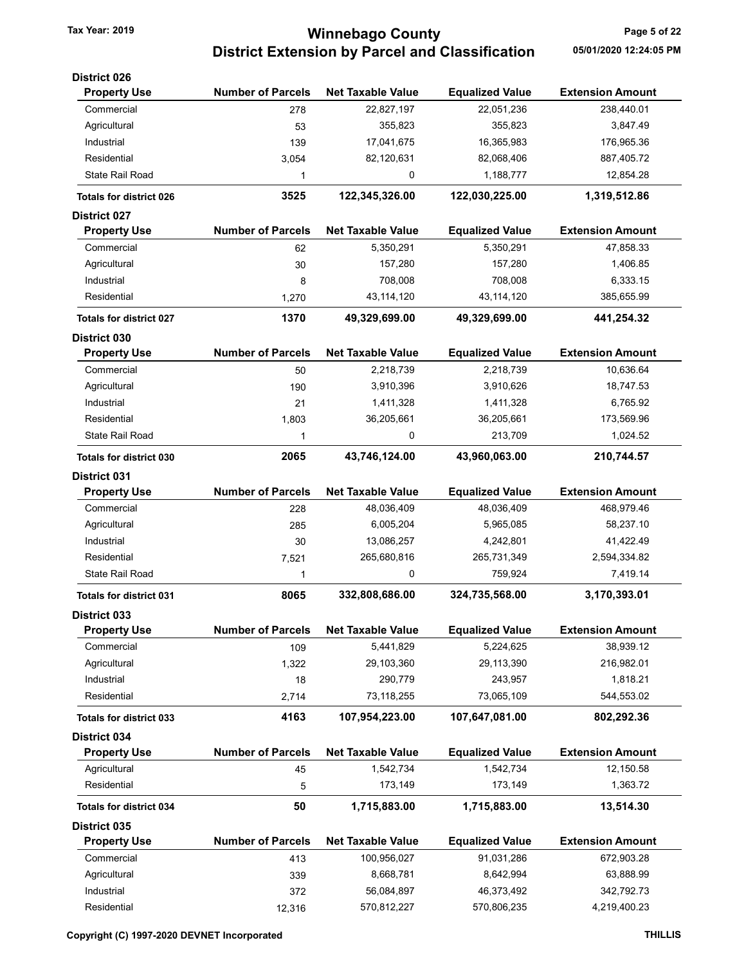# Tax Year: 2019 **Tax Year: 2019** Page 5 of 22 District Extension by Parcel and Classification 05/01/2020 12:24:05 PM

| <b>District 026</b>            |                          |                          |                        |                         |
|--------------------------------|--------------------------|--------------------------|------------------------|-------------------------|
| <b>Property Use</b>            | <b>Number of Parcels</b> | <b>Net Taxable Value</b> | <b>Equalized Value</b> | <b>Extension Amount</b> |
| Commercial                     | 278                      | 22,827,197               | 22,051,236             | 238,440.01              |
| Agricultural                   | 53                       | 355,823                  | 355,823                | 3,847.49                |
| Industrial                     | 139                      | 17,041,675               | 16,365,983             | 176,965.36              |
| Residential                    | 3,054                    | 82,120,631               | 82,068,406             | 887,405.72              |
| <b>State Rail Road</b>         | 1                        | 0                        | 1,188,777              | 12,854.28               |
| <b>Totals for district 026</b> | 3525                     | 122,345,326.00           | 122,030,225.00         | 1,319,512.86            |
| <b>District 027</b>            |                          |                          |                        |                         |
| <b>Property Use</b>            | <b>Number of Parcels</b> | <b>Net Taxable Value</b> | <b>Equalized Value</b> | <b>Extension Amount</b> |
| Commercial                     | 62                       | 5,350,291                | 5,350,291              | 47,858.33               |
| Agricultural                   | 30                       | 157,280                  | 157,280                | 1,406.85                |
| Industrial                     | 8                        | 708,008                  | 708,008                | 6,333.15                |
| Residential                    | 1,270                    | 43,114,120               | 43,114,120             | 385,655.99              |
| <b>Totals for district 027</b> | 1370                     | 49,329,699.00            | 49,329,699.00          | 441,254.32              |
| <b>District 030</b>            |                          |                          |                        |                         |
| <b>Property Use</b>            | <b>Number of Parcels</b> | <b>Net Taxable Value</b> | <b>Equalized Value</b> | <b>Extension Amount</b> |
| Commercial                     | 50                       | 2,218,739                | 2,218,739              | 10,636.64               |
| Agricultural                   | 190                      | 3,910,396                | 3,910,626              | 18,747.53               |
| Industrial                     | 21                       | 1,411,328                | 1,411,328              | 6,765.92                |
| Residential                    | 1,803                    | 36,205,661               | 36,205,661             | 173,569.96              |
| <b>State Rail Road</b>         | 1                        | 0                        | 213,709                | 1,024.52                |
| <b>Totals for district 030</b> | 2065                     | 43,746,124.00            | 43,960,063.00          | 210,744.57              |
| <b>District 031</b>            |                          |                          |                        |                         |
| <b>Property Use</b>            | <b>Number of Parcels</b> | <b>Net Taxable Value</b> | <b>Equalized Value</b> | <b>Extension Amount</b> |
| Commercial                     | 228                      | 48,036,409               | 48,036,409             | 468,979.46              |
| Agricultural                   | 285                      | 6,005,204                | 5,965,085              | 58,237.10               |
| Industrial                     | 30                       | 13,086,257               | 4,242,801              | 41,422.49               |
| Residential                    | 7,521                    | 265,680,816              | 265,731,349            | 2,594,334.82            |
| <b>State Rail Road</b>         | 1                        | 0                        | 759,924                | 7,419.14                |
| <b>Totals for district 031</b> | 8065                     | 332,808,686.00           | 324,735,568.00         | 3,170,393.01            |
| <b>District 033</b>            |                          |                          |                        |                         |
| <b>Property Use</b>            | <b>Number of Parcels</b> | <b>Net Taxable Value</b> | <b>Equalized Value</b> | <b>Extension Amount</b> |
| Commercial                     | 109                      | 5,441,829                | 5,224,625              | 38,939.12               |
| Agricultural                   | 1,322                    | 29,103,360               | 29,113,390             | 216,982.01              |
| Industrial                     | 18                       | 290,779                  | 243,957                | 1,818.21                |
| Residential                    | 2,714                    | 73,118,255               | 73,065,109             | 544,553.02              |
| <b>Totals for district 033</b> | 4163                     | 107,954,223.00           | 107,647,081.00         | 802,292.36              |
| District 034                   |                          |                          |                        |                         |
| <b>Property Use</b>            | <b>Number of Parcels</b> | <b>Net Taxable Value</b> | <b>Equalized Value</b> | <b>Extension Amount</b> |
| Agricultural                   | 45                       | 1,542,734                | 1,542,734              | 12,150.58               |
| Residential                    | 5                        | 173,149                  | 173,149                | 1,363.72                |
| Totals for district 034        | 50                       | 1,715,883.00             | 1,715,883.00           | 13,514.30               |
| <b>District 035</b>            |                          |                          |                        |                         |
| <b>Property Use</b>            | <b>Number of Parcels</b> | <b>Net Taxable Value</b> | <b>Equalized Value</b> | <b>Extension Amount</b> |
| Commercial                     | 413                      | 100,956,027              | 91,031,286             | 672,903.28              |
| Agricultural                   | 339                      | 8,668,781                | 8,642,994              | 63,888.99               |
| Industrial                     | 372                      | 56,084,897               | 46,373,492             | 342,792.73              |
| Residential                    | 12,316                   | 570,812,227              | 570,806,235            | 4,219,400.23            |
|                                |                          |                          |                        |                         |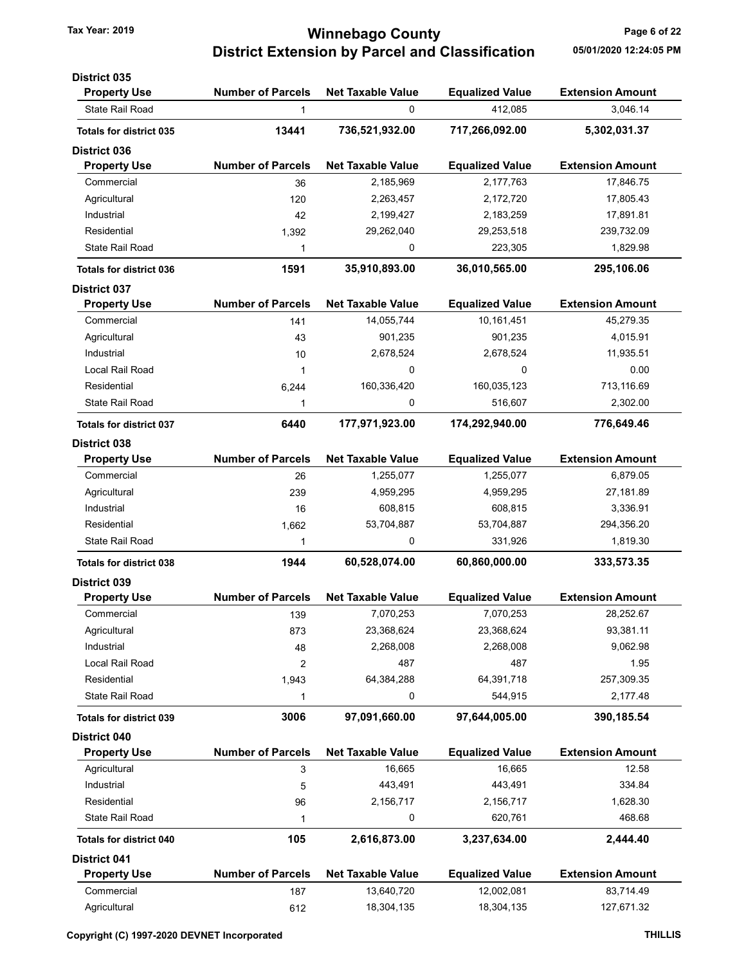# Tax Year: 2019 **Minnebago County Tax Year: 2019** Page 6 of 22 District Extension by Parcel and Classification 05/01/2020 12:24:05 PM

| <b>District 035</b>            |                          |                          |                        |                         |
|--------------------------------|--------------------------|--------------------------|------------------------|-------------------------|
| <b>Property Use</b>            | <b>Number of Parcels</b> | <b>Net Taxable Value</b> | <b>Equalized Value</b> | <b>Extension Amount</b> |
| State Rail Road                | 1                        | 0                        | 412,085                | 3,046.14                |
| <b>Totals for district 035</b> | 13441                    | 736,521,932.00           | 717,266,092.00         | 5,302,031.37            |
| <b>District 036</b>            |                          |                          |                        |                         |
| <b>Property Use</b>            | <b>Number of Parcels</b> | <b>Net Taxable Value</b> | <b>Equalized Value</b> | <b>Extension Amount</b> |
| Commercial                     | 36                       | 2,185,969                | 2,177,763              | 17,846.75               |
| Agricultural                   | 120                      | 2,263,457                | 2,172,720              | 17,805.43               |
| Industrial                     | 42                       | 2,199,427                | 2,183,259              | 17,891.81               |
| Residential                    | 1,392                    | 29,262,040               | 29,253,518             | 239,732.09              |
| <b>State Rail Road</b>         | 1                        | 0                        | 223,305                | 1,829.98                |
| <b>Totals for district 036</b> | 1591                     | 35,910,893.00            | 36,010,565.00          | 295,106.06              |
| <b>District 037</b>            |                          |                          |                        |                         |
| <b>Property Use</b>            | <b>Number of Parcels</b> | <b>Net Taxable Value</b> | <b>Equalized Value</b> | <b>Extension Amount</b> |
| Commercial                     | 141                      | 14,055,744               | 10,161,451             | 45,279.35               |
| Agricultural                   | 43                       | 901,235                  | 901,235                | 4,015.91                |
| Industrial                     | 10                       | 2,678,524                | 2,678,524              | 11,935.51               |
| Local Rail Road                | 1                        | 0                        | 0                      | 0.00                    |
| Residential                    | 6,244                    | 160,336,420              | 160,035,123            | 713,116.69              |
| State Rail Road                | 1                        | 0                        | 516,607                | 2,302.00                |
| <b>Totals for district 037</b> | 6440                     | 177,971,923.00           | 174,292,940.00         | 776,649.46              |
| <b>District 038</b>            |                          |                          |                        |                         |
| <b>Property Use</b>            | <b>Number of Parcels</b> | <b>Net Taxable Value</b> | <b>Equalized Value</b> | <b>Extension Amount</b> |
| Commercial                     | 26                       | 1,255,077                | 1,255,077              | 6,879.05                |
| Agricultural                   | 239                      | 4,959,295                | 4,959,295              | 27,181.89               |
| Industrial                     | 16                       | 608,815                  | 608,815                | 3,336.91                |
| Residential                    | 1,662                    | 53,704,887               | 53,704,887             | 294,356.20              |
| <b>State Rail Road</b>         | 1                        | 0                        | 331,926                | 1,819.30                |
| <b>Totals for district 038</b> | 1944                     | 60,528,074.00            | 60,860,000.00          | 333,573.35              |
| <b>District 039</b>            |                          |                          |                        |                         |
| <b>Property Use</b>            | <b>Number of Parcels</b> | <b>Net Taxable Value</b> | <b>Equalized Value</b> | <b>Extension Amount</b> |
| Commercial                     | 139                      | 7,070,253                | 7,070,253              | 28,252.67               |
| Agricultural                   | 873                      | 23,368,624               | 23,368,624             | 93,381.11               |
| Industrial                     | 48                       | 2,268,008                | 2,268,008              | 9,062.98                |
| Local Rail Road                | 2                        | 487                      | 487                    | 1.95                    |
| Residential                    | 1,943                    | 64,384,288               | 64,391,718             | 257,309.35              |
| <b>State Rail Road</b>         | 1                        | 0                        | 544,915                | 2,177.48                |
| <b>Totals for district 039</b> | 3006                     | 97,091,660.00            | 97,644,005.00          | 390,185.54              |
| District 040                   |                          |                          |                        |                         |
| <b>Property Use</b>            | <b>Number of Parcels</b> | <b>Net Taxable Value</b> | <b>Equalized Value</b> | <b>Extension Amount</b> |
| Agricultural                   | 3                        | 16,665                   | 16,665                 | 12.58                   |
| Industrial                     | 5                        | 443,491                  | 443,491                | 334.84                  |
| Residential                    | 96                       | 2,156,717                | 2,156,717              | 1,628.30                |
| State Rail Road                | 1                        | 0                        | 620,761                | 468.68                  |
| <b>Totals for district 040</b> | 105                      | 2,616,873.00             | 3,237,634.00           | 2,444.40                |
| <b>District 041</b>            |                          |                          |                        |                         |
| <b>Property Use</b>            | <b>Number of Parcels</b> | <b>Net Taxable Value</b> | <b>Equalized Value</b> | <b>Extension Amount</b> |
| Commercial                     | 187                      | 13,640,720               | 12,002,081             | 83,714.49               |
| Agricultural                   | 612                      | 18,304,135               | 18,304,135             | 127,671.32              |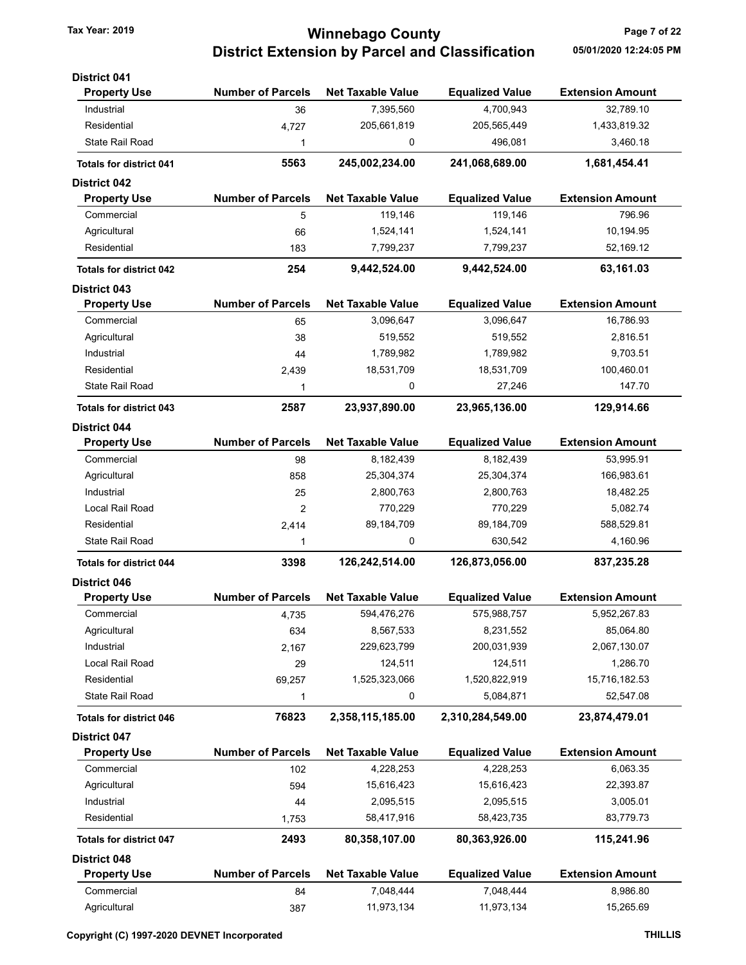## Tax Year: 2019 **Tax Year: 2019** Page 7 of 22 District Extension by Parcel and Classification 05/01/2020 12:24:05 PM

| <b>District 041</b>            |                          |                          |                        |                         |
|--------------------------------|--------------------------|--------------------------|------------------------|-------------------------|
| <b>Property Use</b>            | <b>Number of Parcels</b> | <b>Net Taxable Value</b> | <b>Equalized Value</b> | <b>Extension Amount</b> |
| Industrial                     | 36                       | 7,395,560                | 4,700,943              | 32,789.10               |
| Residential                    | 4,727                    | 205,661,819              | 205,565,449            | 1,433,819.32            |
| <b>State Rail Road</b>         | 1                        | 0                        | 496,081                | 3,460.18                |
| <b>Totals for district 041</b> | 5563                     | 245,002,234.00           | 241,068,689.00         | 1,681,454.41            |
| <b>District 042</b>            |                          |                          |                        |                         |
| <b>Property Use</b>            | <b>Number of Parcels</b> | <b>Net Taxable Value</b> | <b>Equalized Value</b> | <b>Extension Amount</b> |
| Commercial                     | 5                        | 119,146                  | 119,146                | 796.96                  |
| Agricultural                   | 66                       | 1,524,141                | 1,524,141              | 10,194.95               |
| Residential                    | 183                      | 7,799,237                | 7,799,237              | 52,169.12               |
| <b>Totals for district 042</b> | 254                      | 9,442,524.00             | 9,442,524.00           | 63,161.03               |
| <b>District 043</b>            |                          |                          |                        |                         |
| <b>Property Use</b>            | <b>Number of Parcels</b> | <b>Net Taxable Value</b> | <b>Equalized Value</b> | <b>Extension Amount</b> |
| Commercial                     | 65                       | 3,096,647                | 3,096,647              | 16,786.93               |
| Agricultural                   | 38                       | 519,552                  | 519,552                | 2,816.51                |
| Industrial                     | 44                       | 1,789,982                | 1,789,982              | 9,703.51                |
| Residential                    | 2,439                    | 18,531,709               | 18,531,709             | 100,460.01              |
| State Rail Road                | 1                        | 0                        | 27,246                 | 147.70                  |
| <b>Totals for district 043</b> | 2587                     | 23,937,890.00            | 23,965,136.00          | 129,914.66              |
| <b>District 044</b>            |                          |                          |                        |                         |
| <b>Property Use</b>            | <b>Number of Parcels</b> | <b>Net Taxable Value</b> | <b>Equalized Value</b> | <b>Extension Amount</b> |
| Commercial                     | 98                       | 8,182,439                | 8,182,439              | 53,995.91               |
| Agricultural                   | 858                      | 25,304,374               | 25,304,374             | 166,983.61              |
| Industrial                     | 25                       | 2,800,763                | 2,800,763              | 18,482.25               |
| Local Rail Road                | 2                        | 770,229                  | 770,229                | 5,082.74                |
| Residential                    | 2,414                    | 89,184,709               | 89,184,709             | 588,529.81              |
| State Rail Road                | 1                        | 0                        | 630,542                | 4,160.96                |
| <b>Totals for district 044</b> | 3398                     | 126,242,514.00           | 126,873,056.00         | 837,235.28              |
| <b>District 046</b>            |                          |                          |                        |                         |
| <b>Property Use</b>            | <b>Number of Parcels</b> | <b>Net Taxable Value</b> | <b>Equalized Value</b> | <b>Extension Amount</b> |
| Commercial                     | 4,735                    | 594,476,276              | 575,988,757            | 5,952,267.83            |
| Agricultural                   | 634                      | 8,567,533                | 8,231,552              | 85,064.80               |
| Industrial                     | 2,167                    | 229,623,799              | 200,031,939            | 2,067,130.07            |
| Local Rail Road                | 29                       | 124,511                  | 124,511                | 1,286.70                |
| Residential                    | 69,257                   | 1,525,323,066            | 1,520,822,919          | 15,716,182.53           |
| State Rail Road                | 1                        | 0                        | 5,084,871              | 52,547.08               |
| <b>Totals for district 046</b> | 76823                    | 2,358,115,185.00         | 2,310,284,549.00       | 23,874,479.01           |
| District 047                   |                          |                          |                        |                         |
| <b>Property Use</b>            | <b>Number of Parcels</b> | <b>Net Taxable Value</b> | <b>Equalized Value</b> | <b>Extension Amount</b> |
| Commercial                     | 102                      | 4,228,253                | 4,228,253              | 6,063.35                |
| Agricultural                   | 594                      | 15,616,423               | 15,616,423             | 22,393.87               |
| Industrial                     | 44                       | 2,095,515                | 2,095,515              | 3,005.01                |
| Residential                    | 1,753                    | 58,417,916               | 58,423,735             | 83,779.73               |
| <b>Totals for district 047</b> | 2493                     | 80,358,107.00            | 80,363,926.00          | 115,241.96              |
| <b>District 048</b>            |                          |                          |                        |                         |
| <b>Property Use</b>            | <b>Number of Parcels</b> | <b>Net Taxable Value</b> | <b>Equalized Value</b> | <b>Extension Amount</b> |
| Commercial                     | 84                       | 7,048,444                | 7,048,444              | 8,986.80                |
| Agricultural                   | 387                      | 11,973,134               | 11,973,134             | 15,265.69               |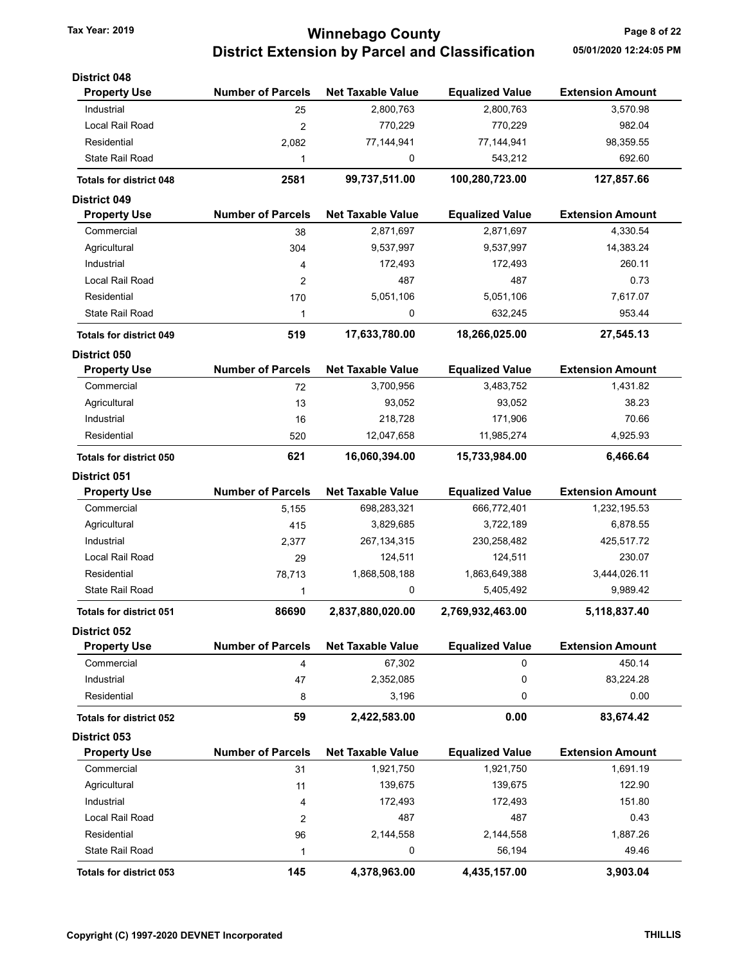# Tax Year: 2019 **Tax Year: 2019** Page 8 of 22 District Extension by Parcel and Classification 05/01/2020 12:24:05 PM

| <b>District 048</b>            |                          |                          |                        |                         |
|--------------------------------|--------------------------|--------------------------|------------------------|-------------------------|
| <b>Property Use</b>            | <b>Number of Parcels</b> | <b>Net Taxable Value</b> | <b>Equalized Value</b> | <b>Extension Amount</b> |
| Industrial                     | 25                       | 2,800,763                | 2,800,763              | 3,570.98                |
| Local Rail Road                | $\overline{2}$           | 770,229                  | 770,229                | 982.04                  |
| Residential                    | 2,082                    | 77,144,941               | 77,144,941             | 98,359.55               |
| <b>State Rail Road</b>         | 1                        | 0                        | 543,212                | 692.60                  |
| <b>Totals for district 048</b> | 2581                     | 99,737,511.00            | 100,280,723.00         | 127,857.66              |
| <b>District 049</b>            |                          |                          |                        |                         |
| <b>Property Use</b>            | <b>Number of Parcels</b> | <b>Net Taxable Value</b> | <b>Equalized Value</b> | <b>Extension Amount</b> |
| Commercial                     | 38                       | 2,871,697                | 2,871,697              | 4,330.54                |
| Agricultural                   | 304                      | 9,537,997                | 9,537,997              | 14,383.24               |
| Industrial                     | 4                        | 172,493                  | 172,493                | 260.11                  |
| Local Rail Road                | 2                        | 487                      | 487                    | 0.73                    |
| Residential                    | 170                      | 5,051,106                | 5,051,106              | 7,617.07                |
| <b>State Rail Road</b>         | 1                        | 0                        | 632,245                | 953.44                  |
| <b>Totals for district 049</b> | 519                      | 17,633,780.00            | 18,266,025.00          | 27,545.13               |
| District 050                   |                          |                          |                        |                         |
| <b>Property Use</b>            | <b>Number of Parcels</b> | <b>Net Taxable Value</b> | <b>Equalized Value</b> | <b>Extension Amount</b> |
| Commercial                     | 72                       | 3,700,956                | 3,483,752              | 1,431.82                |
| Agricultural                   | 13                       | 93,052                   | 93,052                 | 38.23                   |
| Industrial                     | 16                       | 218,728                  | 171,906                | 70.66                   |
| Residential                    | 520                      | 12,047,658               | 11,985,274             | 4,925.93                |
| <b>Totals for district 050</b> | 621                      | 16,060,394.00            | 15,733,984.00          | 6,466.64                |
| <b>District 051</b>            |                          |                          |                        |                         |
| <b>Property Use</b>            | <b>Number of Parcels</b> | <b>Net Taxable Value</b> | <b>Equalized Value</b> | <b>Extension Amount</b> |
| Commercial                     | 5,155                    | 698,283,321              | 666,772,401            | 1,232,195.53            |
| Agricultural                   | 415                      | 3,829,685                | 3,722,189              | 6,878.55                |
| Industrial                     | 2,377                    | 267, 134, 315            | 230,258,482            | 425,517.72              |
| Local Rail Road                | 29                       | 124,511                  | 124,511                | 230.07                  |
| Residential                    | 78,713                   | 1,868,508,188            | 1,863,649,388          | 3,444,026.11            |
| <b>State Rail Road</b>         | 1                        | 0                        | 5,405,492              | 9,989.42                |
| <b>Totals for district 051</b> | 86690                    | 2,837,880,020.00         | 2,769,932,463.00       | 5,118,837.40            |
| <b>District 052</b>            |                          |                          |                        |                         |
| <b>Property Use</b>            | <b>Number of Parcels</b> | <b>Net Taxable Value</b> | <b>Equalized Value</b> | <b>Extension Amount</b> |
| Commercial                     | 4                        | 67,302                   | 0                      | 450.14                  |
| Industrial                     | 47                       | 2,352,085                | 0                      | 83,224.28               |
| Residential                    | 8                        | 3,196                    | 0                      | 0.00                    |
| <b>Totals for district 052</b> | 59                       | 2,422,583.00             | 0.00                   | 83,674.42               |
| <b>District 053</b>            |                          |                          |                        |                         |
| <b>Property Use</b>            | <b>Number of Parcels</b> | <b>Net Taxable Value</b> | <b>Equalized Value</b> | <b>Extension Amount</b> |
| Commercial                     | 31                       | 1,921,750                | 1,921,750              | 1,691.19                |
| Agricultural                   | 11                       | 139,675                  | 139,675                | 122.90                  |
| Industrial                     | 4                        | 172,493                  | 172,493                | 151.80                  |
| Local Rail Road                | $\overline{\mathbf{c}}$  | 487                      | 487                    | 0.43                    |
| Residential                    | 96                       | 2,144,558                | 2,144,558              | 1,887.26                |
| <b>State Rail Road</b>         | 1                        | 0                        | 56,194                 | 49.46                   |
| <b>Totals for district 053</b> | 145                      | 4,378,963.00             | 4,435,157.00           | 3,903.04                |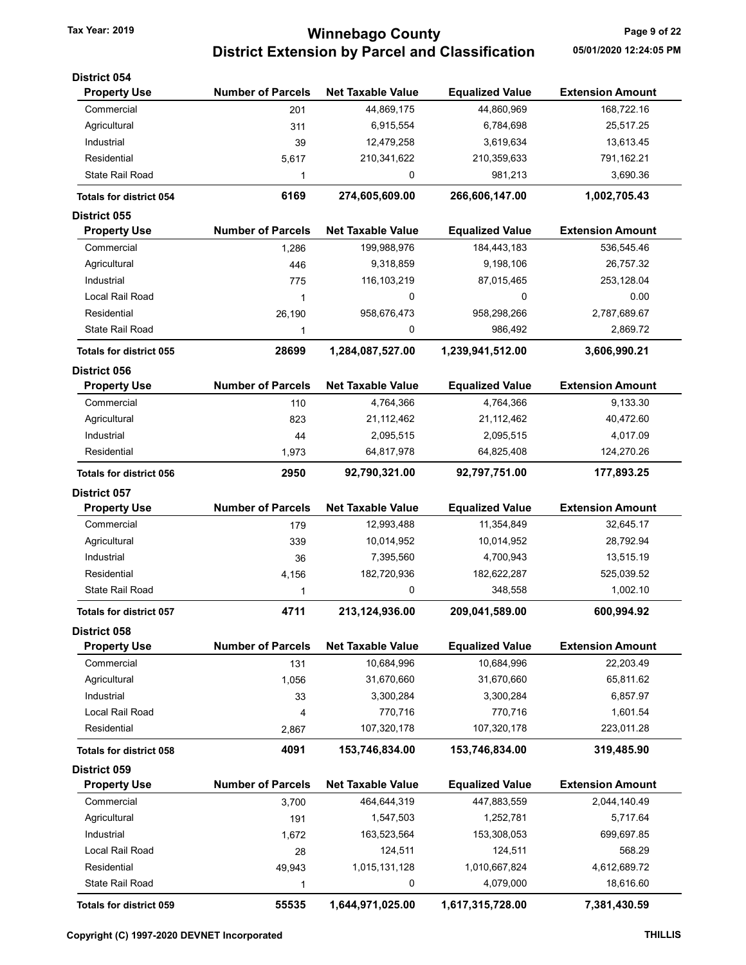# Tax Year: 2019 **Minnebago County Tax Year: 2019** Page 9 of 22 District Extension by Parcel and Classification 05/01/2020 12:24:05 PM

| <b>District 054</b>            |                          |                          |                        |                         |
|--------------------------------|--------------------------|--------------------------|------------------------|-------------------------|
| <b>Property Use</b>            | <b>Number of Parcels</b> | <b>Net Taxable Value</b> | <b>Equalized Value</b> | <b>Extension Amount</b> |
| Commercial                     | 201                      | 44,869,175               | 44,860,969             | 168,722.16              |
| Agricultural                   | 311                      | 6,915,554                | 6,784,698              | 25,517.25               |
| Industrial                     | 39                       | 12,479,258               | 3,619,634              | 13,613.45               |
| Residential                    | 5,617                    | 210,341,622              | 210,359,633            | 791,162.21              |
| <b>State Rail Road</b>         | 1                        | 0                        | 981,213                | 3,690.36                |
| <b>Totals for district 054</b> | 6169                     | 274,605,609.00           | 266,606,147.00         | 1,002,705.43            |
| <b>District 055</b>            |                          |                          |                        |                         |
| <b>Property Use</b>            | <b>Number of Parcels</b> | <b>Net Taxable Value</b> | <b>Equalized Value</b> | <b>Extension Amount</b> |
| Commercial                     | 1,286                    | 199,988,976              | 184,443,183            | 536,545.46              |
| Agricultural                   | 446                      | 9,318,859                | 9,198,106              | 26,757.32               |
| Industrial                     | 775                      | 116, 103, 219            | 87,015,465             | 253,128.04              |
| Local Rail Road                | 1                        | 0                        | 0                      | 0.00                    |
| Residential                    | 26,190                   | 958,676,473              | 958,298,266            | 2,787,689.67            |
| State Rail Road                | 1                        | 0                        | 986,492                | 2,869.72                |
| <b>Totals for district 055</b> | 28699                    | 1,284,087,527.00         | 1,239,941,512.00       | 3,606,990.21            |
| <b>District 056</b>            |                          |                          |                        |                         |
| <b>Property Use</b>            | <b>Number of Parcels</b> | <b>Net Taxable Value</b> | <b>Equalized Value</b> | <b>Extension Amount</b> |
| Commercial                     | 110                      | 4,764,366                | 4,764,366              | 9,133.30                |
| Agricultural                   | 823                      | 21, 112, 462             | 21,112,462             | 40,472.60               |
| Industrial                     | 44                       | 2,095,515                | 2,095,515              | 4,017.09                |
| Residential                    | 1,973                    | 64,817,978               | 64,825,408             | 124,270.26              |
| <b>Totals for district 056</b> | 2950                     | 92,790,321.00            | 92,797,751.00          | 177,893.25              |
| <b>District 057</b>            |                          |                          |                        |                         |
| <b>Property Use</b>            | <b>Number of Parcels</b> | <b>Net Taxable Value</b> | <b>Equalized Value</b> | <b>Extension Amount</b> |
| Commercial                     | 179                      | 12,993,488               | 11,354,849             | 32,645.17               |
| Agricultural                   | 339                      | 10,014,952               | 10,014,952             | 28,792.94               |
| Industrial                     | 36                       | 7,395,560                | 4,700,943              | 13,515.19               |
| Residential                    | 4,156                    | 182,720,936              | 182,622,287            | 525,039.52              |
| <b>State Rail Road</b>         | 1                        | 0                        | 348,558                | 1,002.10                |
| <b>Totals for district 057</b> | 4711                     | 213,124,936.00           | 209,041,589.00         | 600,994.92              |
| District 058                   |                          |                          |                        |                         |
| <b>Property Use</b>            | <b>Number of Parcels</b> | <b>Net Taxable Value</b> | <b>Equalized Value</b> | <b>Extension Amount</b> |
| Commercial                     | 131                      | 10,684,996               | 10,684,996             | 22,203.49               |
| Agricultural                   | 1,056                    | 31,670,660               | 31,670,660             | 65,811.62               |
| Industrial                     | 33                       | 3,300,284                | 3,300,284              | 6,857.97                |
| Local Rail Road                | 4                        | 770,716                  | 770,716                | 1,601.54                |
| Residential                    | 2,867                    | 107,320,178              | 107,320,178            | 223,011.28              |
| <b>Totals for district 058</b> | 4091                     | 153,746,834.00           | 153,746,834.00         | 319,485.90              |
| District 059                   |                          |                          |                        |                         |
| <b>Property Use</b>            | <b>Number of Parcels</b> | <b>Net Taxable Value</b> | <b>Equalized Value</b> | <b>Extension Amount</b> |
| Commercial                     | 3,700                    | 464,644,319              | 447,883,559            | 2,044,140.49            |
| Agricultural                   | 191                      | 1,547,503                | 1,252,781              | 5,717.64                |
| Industrial                     | 1,672                    | 163,523,564              | 153,308,053            | 699,697.85              |
| Local Rail Road                | 28                       | 124,511                  | 124,511                | 568.29                  |
| Residential                    | 49,943                   | 1,015,131,128            | 1,010,667,824          | 4,612,689.72            |
| State Rail Road                | 1                        | 0                        | 4,079,000              | 18,616.60               |
| Totals for district 059        | 55535                    | 1,644,971,025.00         | 1,617,315,728.00       | 7,381,430.59            |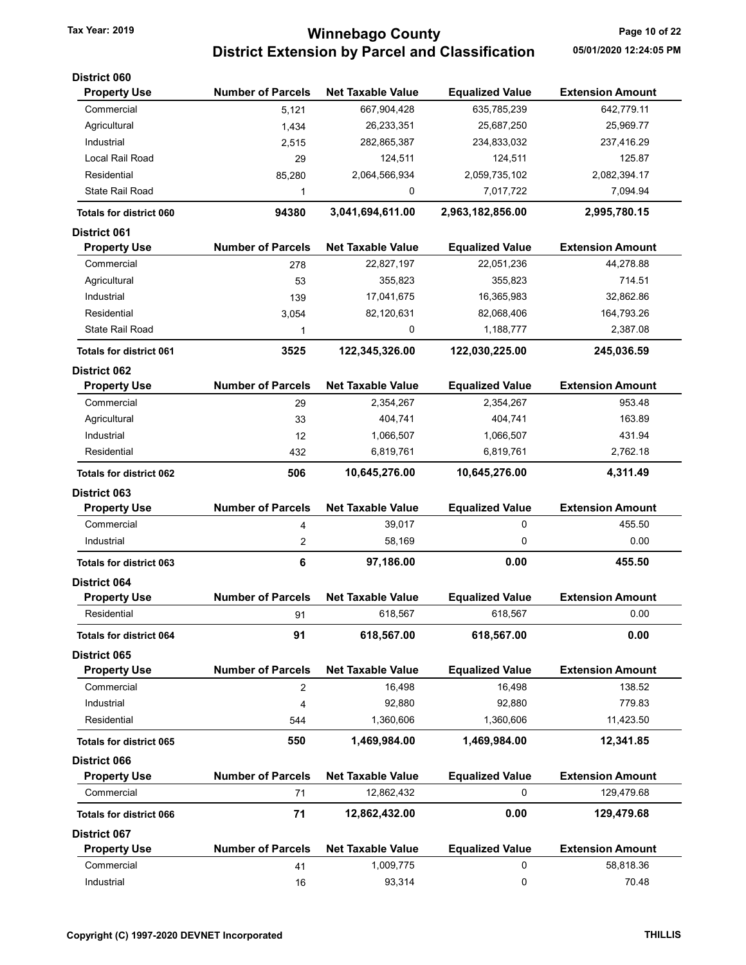# Tax Year: 2019 **Tax Year: 2019 Page 10 of 22** District Extension by Parcel and Classification 05/01/2020 12:24:05 PM

| <b>District 060</b>            |                          |                          |                        |                         |
|--------------------------------|--------------------------|--------------------------|------------------------|-------------------------|
| <b>Property Use</b>            | <b>Number of Parcels</b> | <b>Net Taxable Value</b> | <b>Equalized Value</b> | <b>Extension Amount</b> |
| Commercial                     | 5,121                    | 667,904,428              | 635,785,239            | 642,779.11              |
| Agricultural                   | 1,434                    | 26,233,351               | 25,687,250             | 25,969.77               |
| Industrial                     | 2,515                    | 282,865,387              | 234,833,032            | 237,416.29              |
| Local Rail Road                | 29                       | 124,511                  | 124,511                | 125.87                  |
| Residential                    | 85,280                   | 2,064,566,934            | 2,059,735,102          | 2,082,394.17            |
| <b>State Rail Road</b>         | 1                        | 0                        | 7,017,722              | 7,094.94                |
| <b>Totals for district 060</b> | 94380                    | 3,041,694,611.00         | 2,963,182,856.00       | 2,995,780.15            |
| <b>District 061</b>            |                          |                          |                        |                         |
| <b>Property Use</b>            | <b>Number of Parcels</b> | <b>Net Taxable Value</b> | <b>Equalized Value</b> | <b>Extension Amount</b> |
| Commercial                     | 278                      | 22,827,197               | 22,051,236             | 44,278.88               |
| Agricultural                   | 53                       | 355,823                  | 355,823                | 714.51                  |
| Industrial                     | 139                      | 17,041,675               | 16,365,983             | 32,862.86               |
| Residential                    | 3,054                    | 82,120,631               | 82,068,406             | 164,793.26              |
| State Rail Road                | 1                        | 0                        | 1,188,777              | 2,387.08                |
| <b>Totals for district 061</b> | 3525                     | 122,345,326.00           | 122,030,225.00         | 245,036.59              |
| <b>District 062</b>            |                          |                          |                        |                         |
| <b>Property Use</b>            | <b>Number of Parcels</b> | <b>Net Taxable Value</b> | <b>Equalized Value</b> | <b>Extension Amount</b> |
| Commercial                     | 29                       | 2,354,267                | 2,354,267              | 953.48                  |
| Agricultural                   | 33                       | 404,741                  | 404,741                | 163.89                  |
| Industrial                     | 12                       | 1,066,507                | 1,066,507              | 431.94                  |
| Residential                    | 432                      | 6,819,761                | 6,819,761              | 2,762.18                |
| <b>Totals for district 062</b> | 506                      | 10,645,276.00            | 10,645,276.00          | 4,311.49                |
| <b>District 063</b>            |                          |                          |                        |                         |
| <b>Property Use</b>            | <b>Number of Parcels</b> | <b>Net Taxable Value</b> | <b>Equalized Value</b> | <b>Extension Amount</b> |
| Commercial                     | 4                        | 39,017                   | 0                      | 455.50                  |
| Industrial                     | 2                        | 58,169                   | 0                      | 0.00                    |
| <b>Totals for district 063</b> | 6                        | 97,186.00                | 0.00                   | 455.50                  |
| <b>District 064</b>            |                          |                          |                        |                         |
| <b>Property Use</b>            | <b>Number of Parcels</b> | <b>Net Taxable Value</b> | <b>Equalized Value</b> | <b>Extension Amount</b> |
| Residential                    | 91                       | 618,567                  | 618,567                | 0.00                    |
| <b>Totals for district 064</b> | 91                       | 618,567.00               | 618,567.00             | 0.00                    |
| <b>District 065</b>            |                          |                          |                        |                         |
| <b>Property Use</b>            | <b>Number of Parcels</b> | <b>Net Taxable Value</b> | <b>Equalized Value</b> | <b>Extension Amount</b> |
| Commercial                     | 2                        | 16,498                   | 16,498                 | 138.52                  |
| Industrial                     | 4                        | 92,880                   | 92,880                 | 779.83                  |
| Residential                    | 544                      | 1,360,606                | 1,360,606              | 11,423.50               |
| <b>Totals for district 065</b> | 550                      | 1,469,984.00             | 1,469,984.00           | 12,341.85               |
| <b>District 066</b>            |                          |                          |                        |                         |
| <b>Property Use</b>            | <b>Number of Parcels</b> | <b>Net Taxable Value</b> | <b>Equalized Value</b> | <b>Extension Amount</b> |
| Commercial                     | 71                       | 12,862,432               | 0                      | 129,479.68              |
| <b>Totals for district 066</b> | 71                       | 12,862,432.00            | 0.00                   | 129,479.68              |
| <b>District 067</b>            |                          |                          |                        |                         |
| <b>Property Use</b>            | <b>Number of Parcels</b> | <b>Net Taxable Value</b> | <b>Equalized Value</b> | <b>Extension Amount</b> |
| Commercial                     | 41                       | 1,009,775                | 0                      | 58,818.36               |
| Industrial                     | 16                       | 93,314                   | 0                      | 70.48                   |
|                                |                          |                          |                        |                         |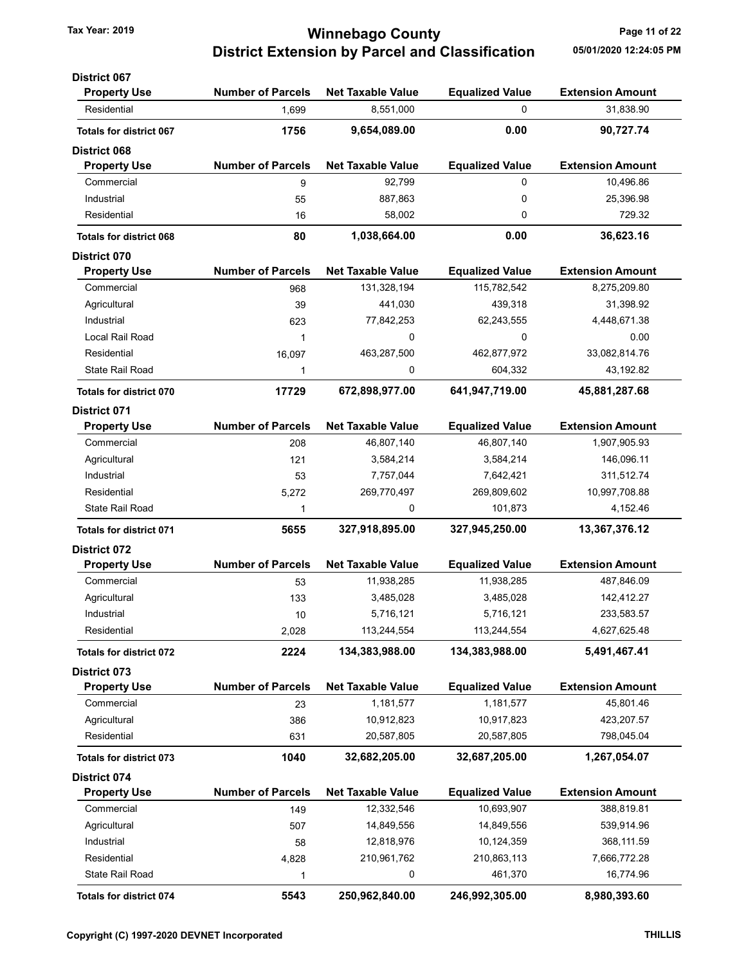### Tax Year: 2019 **Tax Year: 2019 Page 11 of 22** District Extension by Parcel and Classification 05/01/2020 12:24:05 PM

| <b>District 067</b>            |                          |                          |                        |                         |
|--------------------------------|--------------------------|--------------------------|------------------------|-------------------------|
| <b>Property Use</b>            | <b>Number of Parcels</b> | <b>Net Taxable Value</b> | <b>Equalized Value</b> | <b>Extension Amount</b> |
| Residential                    | 1,699                    | 8,551,000                | $\mathbf 0$            | 31,838.90               |
| <b>Totals for district 067</b> | 1756                     | 9,654,089.00             | 0.00                   | 90,727.74               |
| <b>District 068</b>            |                          |                          |                        |                         |
| <b>Property Use</b>            | <b>Number of Parcels</b> | <b>Net Taxable Value</b> | <b>Equalized Value</b> | <b>Extension Amount</b> |
| Commercial                     | 9                        | 92,799                   | $\mathbf 0$            | 10,496.86               |
| Industrial                     | 55                       | 887,863                  | 0                      | 25,396.98               |
| Residential                    | 16                       | 58,002                   | 0                      | 729.32                  |
| <b>Totals for district 068</b> | 80                       | 1,038,664.00             | 0.00                   | 36,623.16               |
| <b>District 070</b>            |                          |                          |                        |                         |
| <b>Property Use</b>            | <b>Number of Parcels</b> | <b>Net Taxable Value</b> | <b>Equalized Value</b> | <b>Extension Amount</b> |
| Commercial                     | 968                      | 131,328,194              | 115,782,542            | 8,275,209.80            |
| Agricultural                   | 39                       | 441,030                  | 439,318                | 31,398.92               |
| Industrial                     | 623                      | 77,842,253               | 62,243,555             | 4,448,671.38            |
| Local Rail Road                | 1                        | 0                        | 0                      | 0.00                    |
| Residential                    | 16,097                   | 463,287,500              | 462,877,972            | 33,082,814.76           |
| State Rail Road                | 1                        | 0                        | 604,332                | 43,192.82               |
| <b>Totals for district 070</b> | 17729                    | 672,898,977.00           | 641,947,719.00         | 45,881,287.68           |
| <b>District 071</b>            |                          |                          |                        |                         |
| <b>Property Use</b>            | <b>Number of Parcels</b> | <b>Net Taxable Value</b> | <b>Equalized Value</b> | <b>Extension Amount</b> |
| Commercial                     | 208                      | 46,807,140               | 46,807,140             | 1,907,905.93            |
| Agricultural                   | 121                      | 3,584,214                | 3,584,214              | 146,096.11              |
| Industrial                     | 53                       | 7,757,044                | 7,642,421              | 311,512.74              |
| Residential                    | 5,272                    | 269,770,497              | 269,809,602            | 10,997,708.88           |
| State Rail Road                | 1                        | 0                        | 101,873                | 4,152.46                |
| <b>Totals for district 071</b> | 5655                     | 327,918,895.00           | 327,945,250.00         | 13,367,376.12           |
| <b>District 072</b>            |                          |                          |                        |                         |
| <b>Property Use</b>            | <b>Number of Parcels</b> | <b>Net Taxable Value</b> | <b>Equalized Value</b> | <b>Extension Amount</b> |
| Commercial                     | 53                       | 11,938,285               | 11,938,285             | 487,846.09              |
| Agricultural                   | 133                      | 3,485,028                | 3,485,028              | 142,412.27              |
| Industrial                     | 10                       | 5,716,121                | 5,716,121              | 233,583.57              |
| Residential                    | 2,028                    | 113,244,554              | 113,244,554            | 4,627,625.48            |
| <b>Totals for district 072</b> | 2224                     | 134,383,988.00           | 134,383,988.00         | 5,491,467.41            |
| District 073                   |                          |                          |                        |                         |
| <b>Property Use</b>            | <b>Number of Parcels</b> | <b>Net Taxable Value</b> | <b>Equalized Value</b> | <b>Extension Amount</b> |
| Commercial                     | 23                       | 1,181,577                | 1,181,577              | 45,801.46               |
| Agricultural                   | 386                      | 10,912,823               | 10,917,823             | 423,207.57              |
| Residential                    | 631                      | 20,587,805               | 20,587,805             | 798,045.04              |
| <b>Totals for district 073</b> | 1040                     | 32,682,205.00            | 32,687,205.00          | 1,267,054.07            |
| <b>District 074</b>            |                          |                          |                        |                         |
| <b>Property Use</b>            | <b>Number of Parcels</b> | <b>Net Taxable Value</b> | <b>Equalized Value</b> | <b>Extension Amount</b> |
| Commercial                     | 149                      | 12,332,546               | 10,693,907             | 388,819.81              |
| Agricultural                   | 507                      | 14,849,556               | 14,849,556             | 539,914.96              |
| Industrial                     | 58                       | 12,818,976               | 10,124,359             | 368, 111.59             |
| Residential                    | 4,828                    | 210,961,762              | 210,863,113            | 7,666,772.28            |
| State Rail Road                | 1                        | 0                        | 461,370                | 16,774.96               |
| Totals for district 074        | 5543                     | 250,962,840.00           | 246,992,305.00         | 8,980,393.60            |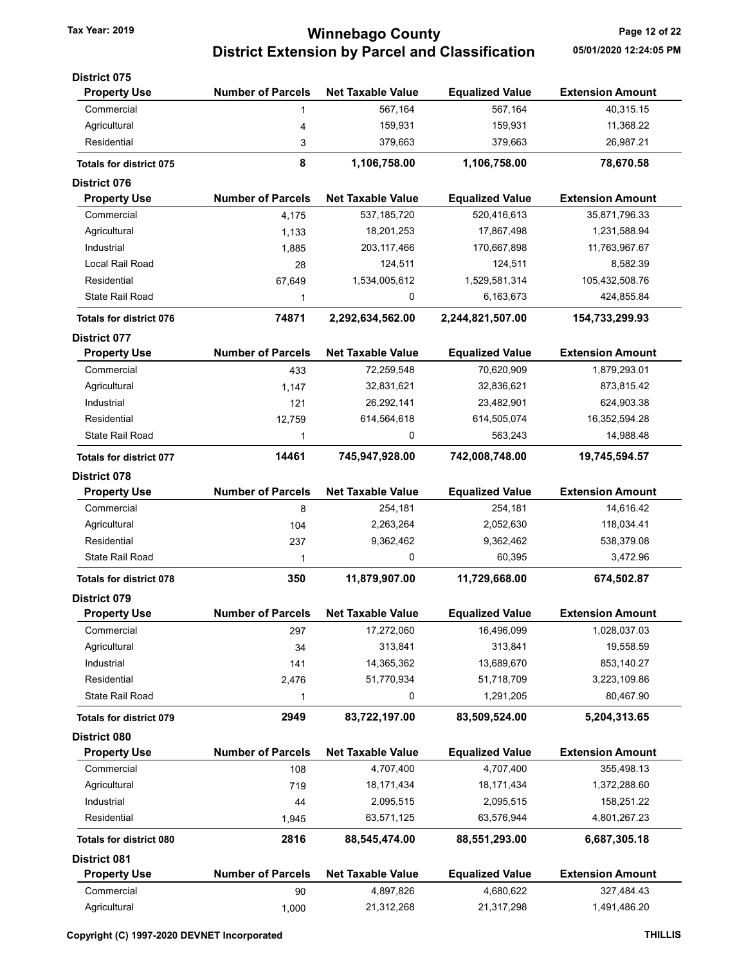# Tax Year: 2019 **Tax Year: 2019 Page 12 of 22** District Extension by Parcel and Classification 05/01/2020 12:24:05 PM

| <b>District 075</b>            |                          |                          |                        |                         |
|--------------------------------|--------------------------|--------------------------|------------------------|-------------------------|
| <b>Property Use</b>            | <b>Number of Parcels</b> | <b>Net Taxable Value</b> | <b>Equalized Value</b> | <b>Extension Amount</b> |
| Commercial                     | 1                        | 567,164                  | 567,164                | 40,315.15               |
| Agricultural                   | 4                        | 159,931                  | 159,931                | 11,368.22               |
| Residential                    | 3                        | 379,663                  | 379,663                | 26,987.21               |
| <b>Totals for district 075</b> | 8                        | 1,106,758.00             | 1,106,758.00           | 78,670.58               |
| <b>District 076</b>            |                          |                          |                        |                         |
| <b>Property Use</b>            | <b>Number of Parcels</b> | <b>Net Taxable Value</b> | <b>Equalized Value</b> | <b>Extension Amount</b> |
| Commercial                     | 4,175                    | 537, 185, 720            | 520,416,613            | 35,871,796.33           |
| Agricultural                   | 1,133                    | 18,201,253               | 17,867,498             | 1,231,588.94            |
| Industrial                     | 1,885                    | 203, 117, 466            | 170,667,898            | 11,763,967.67           |
| Local Rail Road                | 28                       | 124,511                  | 124,511                | 8,582.39                |
| Residential                    | 67,649                   | 1,534,005,612            | 1,529,581,314          | 105,432,508.76          |
| <b>State Rail Road</b>         | 1                        | 0                        | 6,163,673              | 424,855.84              |
| <b>Totals for district 076</b> | 74871                    | 2,292,634,562.00         | 2,244,821,507.00       | 154,733,299.93          |
| <b>District 077</b>            |                          |                          |                        |                         |
| <b>Property Use</b>            | <b>Number of Parcels</b> | <b>Net Taxable Value</b> | <b>Equalized Value</b> | <b>Extension Amount</b> |
| Commercial                     | 433                      | 72,259,548               | 70,620,909             | 1,879,293.01            |
| Agricultural                   | 1,147                    | 32,831,621               | 32,836,621             | 873,815.42              |
| Industrial                     | 121                      | 26,292,141               | 23,482,901             | 624,903.38              |
| Residential                    | 12,759                   | 614,564,618              | 614,505,074            | 16,352,594.28           |
| <b>State Rail Road</b>         | 1                        | 0                        | 563,243                | 14,988.48               |
| <b>Totals for district 077</b> | 14461                    | 745,947,928.00           | 742,008,748.00         | 19,745,594.57           |
| <b>District 078</b>            |                          |                          |                        |                         |
| <b>Property Use</b>            | <b>Number of Parcels</b> | <b>Net Taxable Value</b> | <b>Equalized Value</b> | <b>Extension Amount</b> |
| Commercial                     | 8                        | 254,181                  | 254,181                | 14,616.42               |
| Agricultural                   | 104                      | 2,263,264                | 2,052,630              | 118,034.41              |
| Residential                    | 237                      | 9,362,462                | 9,362,462              | 538,379.08              |
| <b>State Rail Road</b>         | 1                        | 0                        | 60,395                 | 3,472.96                |
| <b>Totals for district 078</b> | 350                      | 11,879,907.00            | 11,729,668.00          | 674,502.87              |
| <b>District 079</b>            |                          |                          |                        |                         |
| <b>Property Use</b>            | <b>Number of Parcels</b> | <b>Net Taxable Value</b> | <b>Equalized Value</b> | <b>Extension Amount</b> |
| Commercial                     | 297                      | 17,272,060               | 16,496,099             | 1,028,037.03            |
| Agricultural                   | 34                       | 313,841                  | 313,841                | 19,558.59               |
| Industrial                     | 141                      | 14,365,362               | 13,689,670             | 853,140.27              |
| Residential                    | 2,476                    | 51,770,934               | 51,718,709             | 3,223,109.86            |
| <b>State Rail Road</b>         | 1                        | 0                        | 1,291,205              | 80,467.90               |
| <b>Totals for district 079</b> | 2949                     | 83,722,197.00            | 83,509,524.00          | 5,204,313.65            |
| District 080                   |                          |                          |                        |                         |
| <b>Property Use</b>            | <b>Number of Parcels</b> | <b>Net Taxable Value</b> | <b>Equalized Value</b> | <b>Extension Amount</b> |
| Commercial                     | 108                      | 4,707,400                | 4,707,400              | 355,498.13              |
| Agricultural                   | 719                      | 18,171,434               | 18,171,434             | 1,372,288.60            |
| Industrial                     | 44                       | 2,095,515                | 2,095,515              | 158,251.22              |
| Residential                    | 1,945                    | 63,571,125               | 63,576,944             | 4,801,267.23            |
| <b>Totals for district 080</b> | 2816                     | 88,545,474.00            | 88,551,293.00          | 6,687,305.18            |
| <b>District 081</b>            |                          |                          |                        |                         |
| <b>Property Use</b>            | <b>Number of Parcels</b> | <b>Net Taxable Value</b> | <b>Equalized Value</b> | <b>Extension Amount</b> |
| Commercial                     | 90                       | 4,897,826                | 4,680,622              | 327,484.43              |
| Agricultural                   | 1,000                    | 21,312,268               | 21,317,298             | 1,491,486.20            |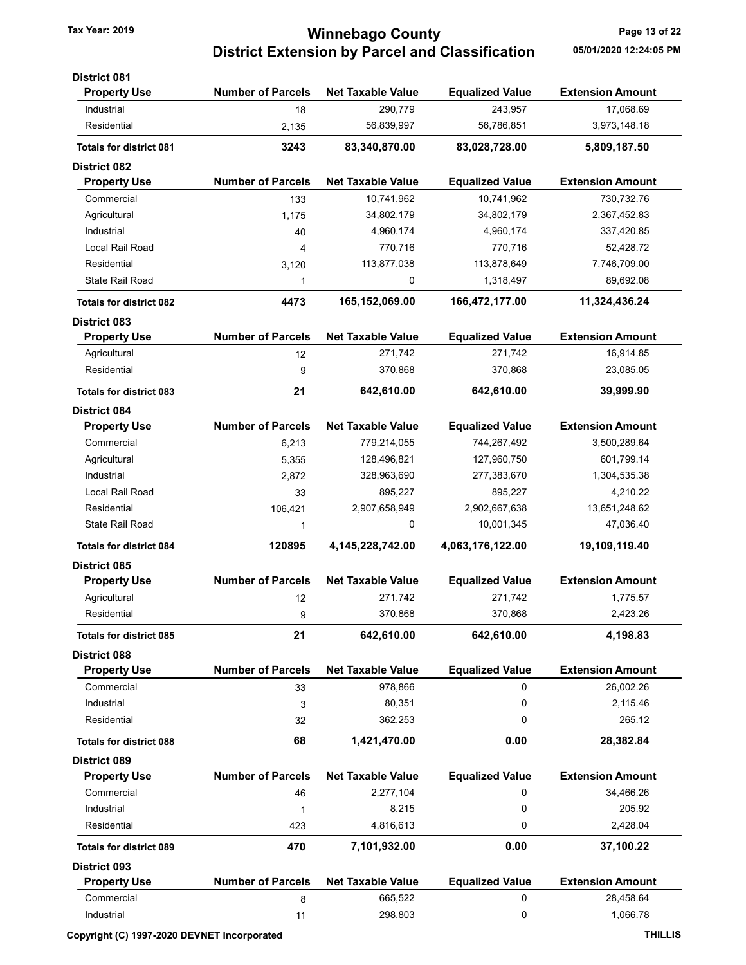# Tax Year: 2019 **Tax Year: 2019 Page 13 of 22** District Extension by Parcel and Classification 05/01/2020 12:24:05 PM

| <b>District 081</b>            |                          |                          |                        |                         |
|--------------------------------|--------------------------|--------------------------|------------------------|-------------------------|
| <b>Property Use</b>            | <b>Number of Parcels</b> | <b>Net Taxable Value</b> | <b>Equalized Value</b> | <b>Extension Amount</b> |
| Industrial                     | 18                       | 290,779                  | 243,957                | 17,068.69               |
| Residential                    | 2,135                    | 56,839,997               | 56,786,851             | 3,973,148.18            |
| <b>Totals for district 081</b> | 3243                     | 83,340,870.00            | 83,028,728.00          | 5,809,187.50            |
| <b>District 082</b>            |                          |                          |                        |                         |
| <b>Property Use</b>            | <b>Number of Parcels</b> | <b>Net Taxable Value</b> | <b>Equalized Value</b> | <b>Extension Amount</b> |
| Commercial                     | 133                      | 10,741,962               | 10,741,962             | 730,732.76              |
| Agricultural                   | 1.175                    | 34,802,179               | 34,802,179             | 2,367,452.83            |
| Industrial                     | 40                       | 4,960,174                | 4,960,174              | 337,420.85              |
| Local Rail Road                | 4                        | 770,716                  | 770,716                | 52,428.72               |
| Residential                    | 3,120                    | 113,877,038              | 113,878,649            | 7,746,709.00            |
| <b>State Rail Road</b>         | 1                        | 0                        | 1,318,497              | 89,692.08               |
| <b>Totals for district 082</b> | 4473                     | 165,152,069.00           | 166,472,177.00         | 11,324,436.24           |
| <b>District 083</b>            |                          |                          |                        |                         |
| <b>Property Use</b>            | <b>Number of Parcels</b> | <b>Net Taxable Value</b> | <b>Equalized Value</b> | <b>Extension Amount</b> |
| Agricultural                   | 12                       | 271,742                  | 271,742                | 16,914.85               |
| Residential                    | 9                        | 370,868                  | 370,868                | 23,085.05               |
| <b>Totals for district 083</b> | 21                       | 642,610.00               | 642,610.00             | 39,999.90               |
| <b>District 084</b>            |                          |                          |                        |                         |
| <b>Property Use</b>            | <b>Number of Parcels</b> | <b>Net Taxable Value</b> | <b>Equalized Value</b> | <b>Extension Amount</b> |
| Commercial                     | 6,213                    | 779,214,055              | 744,267,492            | 3,500,289.64            |
| Agricultural                   | 5,355                    | 128,496,821              | 127,960,750            | 601,799.14              |
| Industrial                     | 2,872                    | 328,963,690              | 277,383,670            | 1,304,535.38            |
| Local Rail Road                | 33                       | 895,227                  | 895,227                | 4,210.22                |
| Residential                    | 106,421                  | 2,907,658,949            | 2,902,667,638          | 13,651,248.62           |
| State Rail Road                | 1                        | 0                        | 10,001,345             | 47,036.40               |
| <b>Totals for district 084</b> | 120895                   | 4, 145, 228, 742.00      | 4,063,176,122.00       | 19,109,119.40           |
| <b>District 085</b>            |                          |                          |                        |                         |
| <b>Property Use</b>            | <b>Number of Parcels</b> | <b>Net Taxable Value</b> | <b>Equalized Value</b> | <b>Extension Amount</b> |
| Agricultural                   | 12                       | 271,742                  | 271,742                | 1,775.57                |
| Residential                    | 9                        | 370,868                  | 370,868                | 2,423.26                |
| <b>Totals for district 085</b> | 21                       | 642,610.00               | 642,610.00             | 4,198.83                |
| <b>District 088</b>            |                          |                          |                        |                         |
| <b>Property Use</b>            | <b>Number of Parcels</b> | <b>Net Taxable Value</b> | <b>Equalized Value</b> | <b>Extension Amount</b> |
| Commercial                     | 33                       | 978,866                  | 0                      | 26,002.26               |
| Industrial                     | 3                        | 80,351                   | 0                      | 2,115.46                |
| Residential                    | 32                       | 362,253                  | 0                      | 265.12                  |
| <b>Totals for district 088</b> | 68                       | 1,421,470.00             | 0.00                   | 28,382.84               |
| <b>District 089</b>            |                          |                          |                        |                         |
| <b>Property Use</b>            | <b>Number of Parcels</b> | <b>Net Taxable Value</b> | <b>Equalized Value</b> | <b>Extension Amount</b> |
| Commercial                     | 46                       | 2,277,104                | 0                      | 34,466.26               |
| Industrial                     | 1                        | 8,215                    | 0                      | 205.92                  |
| Residential                    | 423                      | 4,816,613                | 0                      | 2,428.04                |
| <b>Totals for district 089</b> | 470                      | 7,101,932.00             | 0.00                   | 37,100.22               |
| <b>District 093</b>            |                          |                          |                        |                         |
| <b>Property Use</b>            | <b>Number of Parcels</b> | <b>Net Taxable Value</b> | <b>Equalized Value</b> | <b>Extension Amount</b> |
| Commercial                     | 8                        | 665,522                  | 0                      | 28,458.64               |
| Industrial                     | 11                       | 298,803                  | 0                      | 1,066.78                |
|                                |                          |                          |                        |                         |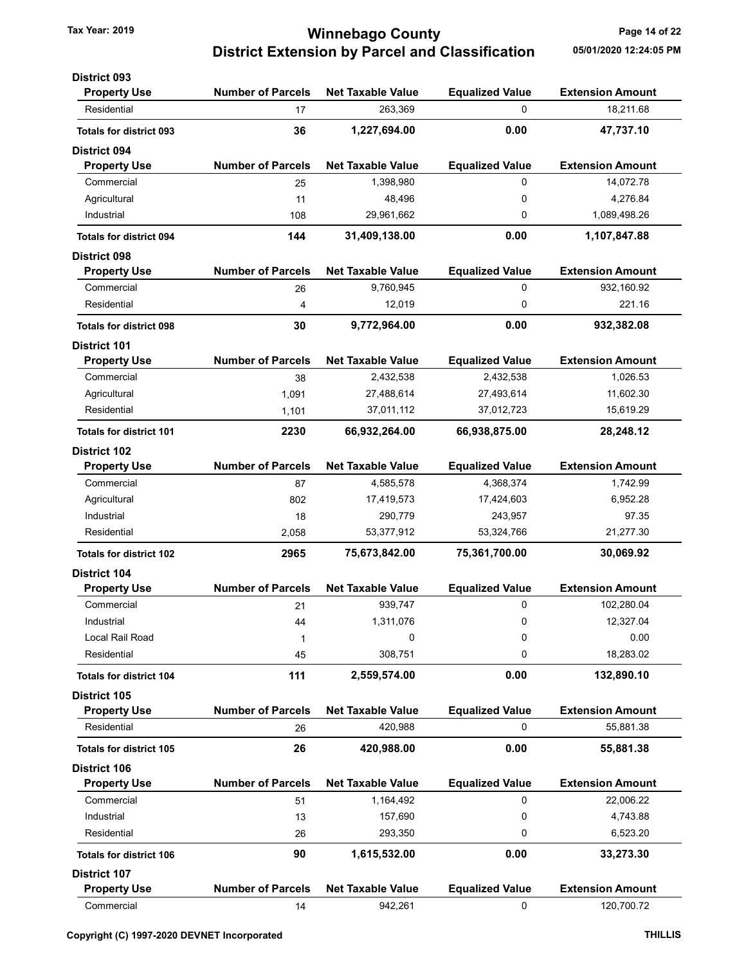### Tax Year: 2019 **Tax Year: 2019 Page 14 of 22** District Extension by Parcel and Classification 05/01/2020 12:24:05 PM

| <b>District 093</b>            |                          |                          |                        |                         |
|--------------------------------|--------------------------|--------------------------|------------------------|-------------------------|
| <b>Property Use</b>            | <b>Number of Parcels</b> | <b>Net Taxable Value</b> | <b>Equalized Value</b> | <b>Extension Amount</b> |
| Residential                    | 17                       | 263,369                  | 0                      | 18,211.68               |
| <b>Totals for district 093</b> | 36                       | 1,227,694.00             | 0.00                   | 47,737.10               |
| <b>District 094</b>            |                          |                          |                        |                         |
| <b>Property Use</b>            | <b>Number of Parcels</b> | <b>Net Taxable Value</b> | <b>Equalized Value</b> | <b>Extension Amount</b> |
| Commercial                     | 25                       | 1,398,980                | 0                      | 14,072.78               |
| Agricultural                   | 11                       | 48,496                   | 0                      | 4,276.84                |
| Industrial                     | 108                      | 29,961,662               | 0                      | 1,089,498.26            |
| <b>Totals for district 094</b> | 144                      | 31,409,138.00            | 0.00                   | 1,107,847.88            |
| <b>District 098</b>            |                          |                          |                        |                         |
| <b>Property Use</b>            | <b>Number of Parcels</b> | <b>Net Taxable Value</b> | <b>Equalized Value</b> | <b>Extension Amount</b> |
| Commercial                     | 26                       | 9,760,945                | 0                      | 932,160.92              |
| Residential                    | 4                        | 12,019                   | 0                      | 221.16                  |
| <b>Totals for district 098</b> | 30                       | 9,772,964.00             | 0.00                   | 932,382.08              |
| <b>District 101</b>            |                          |                          |                        |                         |
| <b>Property Use</b>            | <b>Number of Parcels</b> | <b>Net Taxable Value</b> | <b>Equalized Value</b> | <b>Extension Amount</b> |
| Commercial                     | 38                       | 2,432,538                | 2,432,538              | 1,026.53                |
| Agricultural                   | 1,091                    | 27,488,614               | 27,493,614             | 11,602.30               |
| Residential                    | 1,101                    | 37,011,112               | 37,012,723             | 15,619.29               |
| <b>Totals for district 101</b> | 2230                     | 66,932,264.00            | 66,938,875.00          | 28,248.12               |
| <b>District 102</b>            |                          |                          |                        |                         |
| <b>Property Use</b>            | <b>Number of Parcels</b> | <b>Net Taxable Value</b> | <b>Equalized Value</b> | <b>Extension Amount</b> |
| Commercial                     | 87                       | 4,585,578                | 4,368,374              | 1,742.99                |
| Agricultural                   | 802                      | 17,419,573               | 17,424,603             | 6,952.28                |
| Industrial                     | 18                       | 290,779                  | 243,957                | 97.35                   |
| Residential                    | 2,058                    | 53,377,912               | 53,324,766             | 21,277.30               |
| <b>Totals for district 102</b> | 2965                     | 75,673,842.00            | 75,361,700.00          | 30,069.92               |
| <b>District 104</b>            |                          |                          |                        |                         |
| <b>Property Use</b>            | <b>Number of Parcels</b> | <b>Net Taxable Value</b> | <b>Equalized Value</b> | <b>Extension Amount</b> |
| Commercial                     | 21                       | 939,747                  | 0                      | 102,280.04              |
| Industrial                     | 44                       | 1,311,076                | 0                      | 12,327.04               |
| Local Rail Road                | 1                        | 0                        | 0                      | 0.00                    |
| Residential                    | 45                       | 308,751                  | 0                      | 18,283.02               |
| <b>Totals for district 104</b> | 111                      | 2,559,574.00             | 0.00                   | 132,890.10              |
| District 105                   |                          |                          |                        |                         |
| <b>Property Use</b>            | <b>Number of Parcels</b> | <b>Net Taxable Value</b> | <b>Equalized Value</b> | <b>Extension Amount</b> |
| Residential                    | 26                       | 420,988                  | 0                      | 55,881.38               |
| <b>Totals for district 105</b> | 26                       | 420,988.00               | 0.00                   | 55,881.38               |
| <b>District 106</b>            |                          |                          |                        |                         |
| <b>Property Use</b>            | <b>Number of Parcels</b> | <b>Net Taxable Value</b> | <b>Equalized Value</b> | <b>Extension Amount</b> |
| Commercial                     | 51                       | 1,164,492                | 0                      | 22,006.22               |
| Industrial                     | 13                       | 157,690                  | 0                      | 4,743.88                |
| Residential                    | 26                       | 293,350                  | 0                      | 6,523.20                |
| <b>Totals for district 106</b> | 90                       | 1,615,532.00             | 0.00                   | 33,273.30               |
| <b>District 107</b>            |                          |                          |                        |                         |
| <b>Property Use</b>            | <b>Number of Parcels</b> | <b>Net Taxable Value</b> | <b>Equalized Value</b> | <b>Extension Amount</b> |
| Commercial                     | 14                       | 942,261                  | 0                      | 120,700.72              |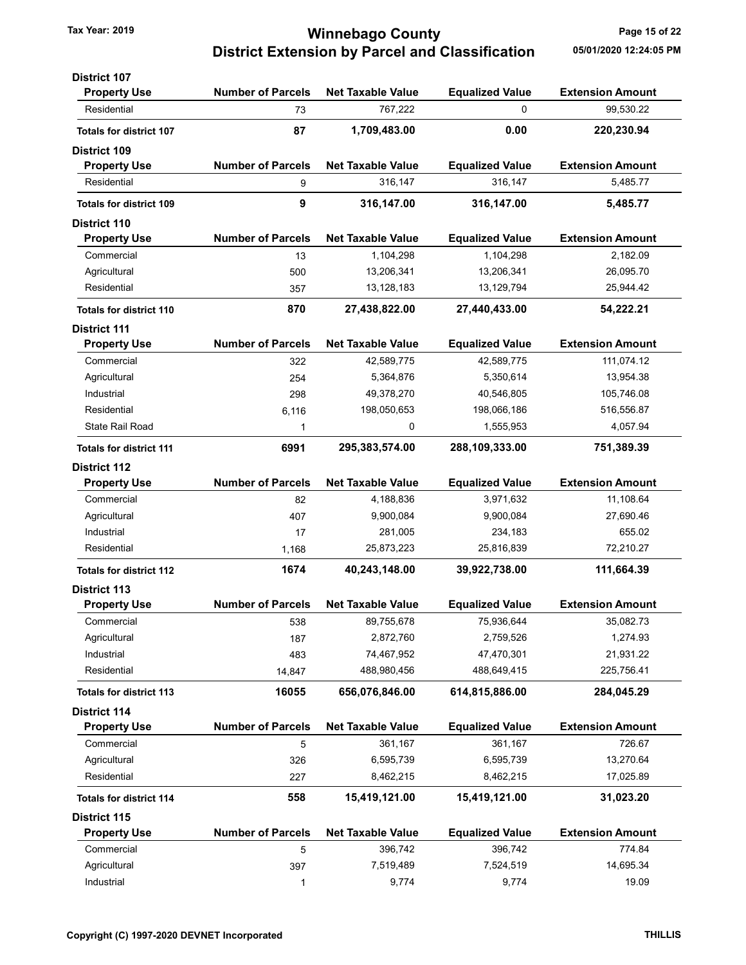### Tax Year: 2019 **Tax Year: 2019 Page 15 of 22** District Extension by Parcel and Classification 05/01/2020 12:24:05 PM

| <b>District 107</b>            |                          |                          |                        |                         |
|--------------------------------|--------------------------|--------------------------|------------------------|-------------------------|
| <b>Property Use</b>            | <b>Number of Parcels</b> | <b>Net Taxable Value</b> | <b>Equalized Value</b> | <b>Extension Amount</b> |
| Residential                    | 73                       | 767,222                  | 0                      | 99,530.22               |
| <b>Totals for district 107</b> | 87                       | 1,709,483.00             | 0.00                   | 220,230.94              |
| <b>District 109</b>            |                          |                          |                        |                         |
| <b>Property Use</b>            | <b>Number of Parcels</b> | <b>Net Taxable Value</b> | <b>Equalized Value</b> | <b>Extension Amount</b> |
| Residential                    | 9                        | 316,147                  | 316,147                | 5,485.77                |
| <b>Totals for district 109</b> | 9                        | 316,147.00               | 316,147.00             | 5,485.77                |
| <b>District 110</b>            |                          |                          |                        |                         |
| <b>Property Use</b>            | <b>Number of Parcels</b> | <b>Net Taxable Value</b> | <b>Equalized Value</b> | <b>Extension Amount</b> |
| Commercial                     | 13                       | 1,104,298                | 1,104,298              | 2,182.09                |
| Agricultural                   | 500                      | 13,206,341               | 13,206,341             | 26,095.70               |
| Residential                    | 357                      | 13,128,183               | 13,129,794             | 25,944.42               |
| <b>Totals for district 110</b> | 870                      | 27,438,822.00            | 27,440,433.00          | 54,222.21               |
| <b>District 111</b>            |                          |                          |                        |                         |
| <b>Property Use</b>            | <b>Number of Parcels</b> | <b>Net Taxable Value</b> | <b>Equalized Value</b> | <b>Extension Amount</b> |
| Commercial                     | 322                      | 42,589,775               | 42,589,775             | 111,074.12              |
| Agricultural                   | 254                      | 5,364,876                | 5,350,614              | 13,954.38               |
| Industrial                     | 298                      | 49,378,270               | 40,546,805             | 105,746.08              |
| Residential                    | 6,116                    | 198,050,653              | 198,066,186            | 516,556.87              |
| State Rail Road                | 1                        | 0                        | 1,555,953              | 4,057.94                |
| <b>Totals for district 111</b> | 6991                     | 295,383,574.00           | 288,109,333.00         | 751,389.39              |
| <b>District 112</b>            |                          |                          |                        |                         |
| <b>Property Use</b>            | <b>Number of Parcels</b> | <b>Net Taxable Value</b> | <b>Equalized Value</b> | <b>Extension Amount</b> |
| Commercial                     | 82                       | 4,188,836                | 3,971,632              | 11,108.64               |
| Agricultural                   | 407                      | 9,900,084                | 9,900,084              | 27,690.46               |
| Industrial                     | 17                       | 281,005                  | 234,183                | 655.02                  |
| Residential                    | 1,168                    | 25,873,223               | 25,816,839             | 72,210.27               |
| <b>Totals for district 112</b> | 1674                     | 40,243,148.00            | 39,922,738.00          | 111,664.39              |
| <b>District 113</b>            |                          |                          |                        |                         |
| <b>Property Use</b>            | <b>Number of Parcels</b> | <b>Net Taxable Value</b> | <b>Equalized Value</b> | <b>Extension Amount</b> |
| Commercial                     | 538                      | 89,755,678               | 75,936,644             | 35,082.73               |
| Agricultural                   | 187                      | 2,872,760                | 2,759,526              | 1,274.93                |
| Industrial                     | 483                      | 74,467,952               | 47,470,301             | 21,931.22               |
| Residential                    | 14,847                   | 488,980,456              | 488,649,415            | 225,756.41              |
| <b>Totals for district 113</b> | 16055                    | 656,076,846.00           | 614,815,886.00         | 284,045.29              |
| <b>District 114</b>            |                          |                          |                        |                         |
| <b>Property Use</b>            | <b>Number of Parcels</b> | <b>Net Taxable Value</b> | <b>Equalized Value</b> | <b>Extension Amount</b> |
| Commercial                     | 5                        | 361,167                  | 361,167                | 726.67                  |
| Agricultural                   | 326                      | 6,595,739                | 6,595,739              | 13,270.64               |
| Residential                    | 227                      | 8,462,215                | 8,462,215              | 17,025.89               |
| <b>Totals for district 114</b> | 558                      | 15,419,121.00            | 15,419,121.00          | 31,023.20               |
| District 115                   |                          |                          |                        |                         |
| <b>Property Use</b>            | <b>Number of Parcels</b> | <b>Net Taxable Value</b> | <b>Equalized Value</b> | <b>Extension Amount</b> |
| Commercial                     | 5                        | 396,742                  | 396,742                | 774.84                  |
| Agricultural                   | 397                      | 7,519,489                | 7,524,519              | 14,695.34               |
| Industrial                     | $\mathbf{1}$             | 9,774                    | 9,774                  | 19.09                   |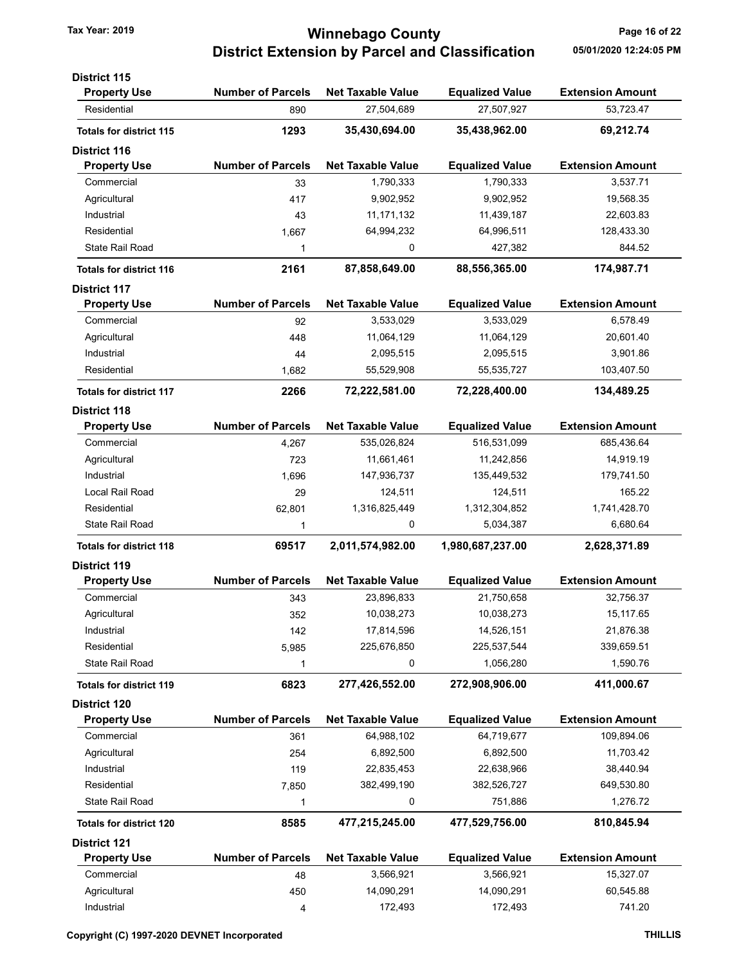### Tax Year: 2019 **Tax Year: 2019 Page 16 of 22** District Extension by Parcel and Classification 05/01/2020 12:24:05 PM

| <b>District 115</b>            |                          |                          |                        |                         |
|--------------------------------|--------------------------|--------------------------|------------------------|-------------------------|
| <b>Property Use</b>            | <b>Number of Parcels</b> | <b>Net Taxable Value</b> | <b>Equalized Value</b> | <b>Extension Amount</b> |
| Residential                    | 890                      | 27,504,689               | 27,507,927             | 53,723.47               |
| <b>Totals for district 115</b> | 1293                     | 35,430,694.00            | 35,438,962.00          | 69,212.74               |
| <b>District 116</b>            |                          |                          |                        |                         |
| <b>Property Use</b>            | <b>Number of Parcels</b> | <b>Net Taxable Value</b> | <b>Equalized Value</b> | <b>Extension Amount</b> |
| Commercial                     | 33                       | 1,790,333                | 1,790,333              | 3,537.71                |
| Agricultural                   | 417                      | 9,902,952                | 9,902,952              | 19,568.35               |
| Industrial                     | 43                       | 11, 171, 132             | 11,439,187             | 22,603.83               |
| Residential                    | 1,667                    | 64,994,232               | 64,996,511             | 128,433.30              |
| State Rail Road                | 1                        | 0                        | 427,382                | 844.52                  |
| <b>Totals for district 116</b> | 2161                     | 87,858,649.00            | 88,556,365.00          | 174,987.71              |
| <b>District 117</b>            |                          |                          |                        |                         |
| <b>Property Use</b>            | <b>Number of Parcels</b> | <b>Net Taxable Value</b> | <b>Equalized Value</b> | <b>Extension Amount</b> |
| Commercial                     | 92                       | 3,533,029                | 3,533,029              | 6,578.49                |
| Agricultural                   | 448                      | 11,064,129               | 11,064,129             | 20,601.40               |
| Industrial                     | 44                       | 2,095,515                | 2,095,515              | 3,901.86                |
| Residential                    | 1,682                    | 55,529,908               | 55,535,727             | 103,407.50              |
| <b>Totals for district 117</b> | 2266                     | 72,222,581.00            | 72,228,400.00          | 134,489.25              |
| <b>District 118</b>            |                          |                          |                        |                         |
| <b>Property Use</b>            | <b>Number of Parcels</b> | <b>Net Taxable Value</b> | <b>Equalized Value</b> | <b>Extension Amount</b> |
| Commercial                     | 4,267                    | 535,026,824              | 516,531,099            | 685,436.64              |
| Agricultural                   | 723                      | 11,661,461               | 11,242,856             | 14,919.19               |
| Industrial                     | 1,696                    | 147,936,737              | 135,449,532            | 179,741.50              |
| Local Rail Road                | 29                       | 124,511                  | 124,511                | 165.22                  |
| Residential                    | 62,801                   | 1,316,825,449            | 1,312,304,852          | 1,741,428.70            |
| State Rail Road                | 1                        | 0                        | 5,034,387              | 6,680.64                |
| <b>Totals for district 118</b> | 69517                    | 2,011,574,982.00         | 1,980,687,237.00       | 2,628,371.89            |
| <b>District 119</b>            |                          |                          |                        |                         |
| <b>Property Use</b>            | <b>Number of Parcels</b> | <b>Net Taxable Value</b> | <b>Equalized Value</b> | <b>Extension Amount</b> |
| Commercial                     | 343                      | 23,896,833               | 21,750,658             | 32,756.37               |
| Agricultural                   | 352                      | 10,038,273               | 10,038,273             | 15,117.65               |
| Industrial                     | 142                      | 17,814,596               | 14,526,151             | 21,876.38               |
| Residential                    | 5,985                    | 225,676,850              | 225,537,544            | 339,659.51              |
| <b>State Rail Road</b>         | 1                        | 0                        | 1,056,280              | 1,590.76                |
| <b>Totals for district 119</b> | 6823                     | 277,426,552.00           | 272,908,906.00         | 411,000.67              |
| District 120                   |                          |                          |                        |                         |
| <b>Property Use</b>            | <b>Number of Parcels</b> | <b>Net Taxable Value</b> | <b>Equalized Value</b> | <b>Extension Amount</b> |
| Commercial                     | 361                      | 64,988,102               | 64,719,677             | 109,894.06              |
| Agricultural                   | 254                      | 6,892,500                | 6,892,500              | 11,703.42               |
| Industrial                     | 119                      | 22,835,453               | 22,638,966             | 38,440.94               |
| Residential                    | 7,850                    | 382,499,190              | 382,526,727            | 649,530.80              |
| State Rail Road                | 1                        | 0                        | 751,886                | 1,276.72                |
| <b>Totals for district 120</b> | 8585                     | 477,215,245.00           | 477,529,756.00         | 810,845.94              |
| <b>District 121</b>            |                          |                          |                        |                         |
| <b>Property Use</b>            | <b>Number of Parcels</b> | <b>Net Taxable Value</b> | <b>Equalized Value</b> | <b>Extension Amount</b> |
| Commercial                     | 48                       | 3,566,921                | 3,566,921              | 15,327.07               |
| Agricultural                   | 450                      | 14,090,291               | 14,090,291             | 60,545.88               |
| Industrial                     | 4                        | 172,493                  | 172,493                | 741.20                  |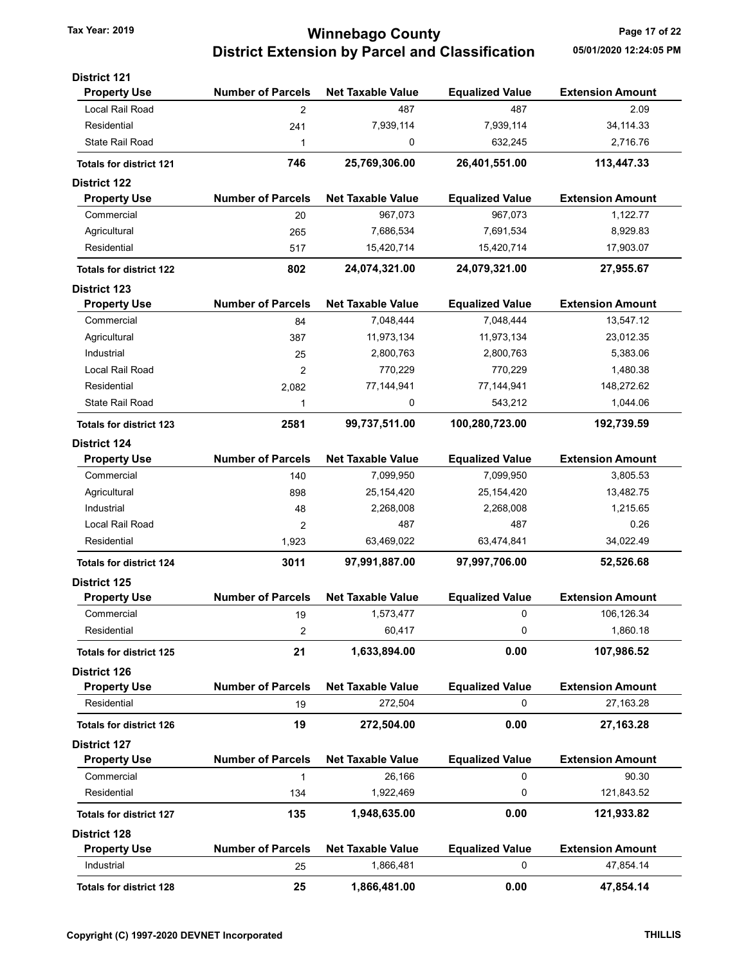## Tax Year: 2019 **Tax Year: 2019 Page 17 of 22** District Extension by Parcel and Classification 05/01/2020 12:24:05 PM

| <b>District 121</b>            |                          |                          |                        |                         |
|--------------------------------|--------------------------|--------------------------|------------------------|-------------------------|
| <b>Property Use</b>            | <b>Number of Parcels</b> | <b>Net Taxable Value</b> | <b>Equalized Value</b> | <b>Extension Amount</b> |
| Local Rail Road                | $\overline{2}$           | 487                      | 487                    | 2.09                    |
| Residential                    | 241                      | 7,939,114                | 7,939,114              | 34, 114. 33             |
| <b>State Rail Road</b>         | 1                        | 0                        | 632,245                | 2,716.76                |
| <b>Totals for district 121</b> | 746                      | 25,769,306.00            | 26,401,551.00          | 113,447.33              |
| <b>District 122</b>            |                          |                          |                        |                         |
| <b>Property Use</b>            | <b>Number of Parcels</b> | <b>Net Taxable Value</b> | <b>Equalized Value</b> | <b>Extension Amount</b> |
| Commercial                     | 20                       | 967,073                  | 967,073                | 1,122.77                |
| Agricultural                   | 265                      | 7,686,534                | 7,691,534              | 8,929.83                |
| Residential                    | 517                      | 15,420,714               | 15,420,714             | 17,903.07               |
| <b>Totals for district 122</b> | 802                      | 24,074,321.00            | 24,079,321.00          | 27,955.67               |
| <b>District 123</b>            |                          |                          |                        |                         |
| <b>Property Use</b>            | <b>Number of Parcels</b> | <b>Net Taxable Value</b> | <b>Equalized Value</b> | <b>Extension Amount</b> |
| Commercial                     | 84                       | 7,048,444                | 7,048,444              | 13,547.12               |
| Agricultural                   | 387                      | 11,973,134               | 11,973,134             | 23,012.35               |
| Industrial                     | 25                       | 2,800,763                | 2,800,763              | 5,383.06                |
| Local Rail Road                | 2                        | 770,229                  | 770,229                | 1,480.38                |
| Residential                    | 2,082                    | 77,144,941               | 77,144,941             | 148,272.62              |
| <b>State Rail Road</b>         | 1                        | 0                        | 543,212                | 1,044.06                |
| <b>Totals for district 123</b> | 2581                     | 99,737,511.00            | 100,280,723.00         | 192,739.59              |
| <b>District 124</b>            |                          |                          |                        |                         |
| <b>Property Use</b>            | <b>Number of Parcels</b> | <b>Net Taxable Value</b> | <b>Equalized Value</b> | <b>Extension Amount</b> |
| Commercial                     | 140                      | 7,099,950                | 7,099,950              | 3,805.53                |
| Agricultural                   | 898                      | 25,154,420               | 25,154,420             | 13,482.75               |
| Industrial                     | 48                       | 2,268,008                | 2,268,008              | 1,215.65                |
| Local Rail Road                | 2                        | 487                      | 487                    | 0.26                    |
| Residential                    | 1,923                    | 63,469,022               | 63,474,841             | 34,022.49               |
| <b>Totals for district 124</b> | 3011                     | 97,991,887.00            | 97,997,706.00          | 52,526.68               |
| District 125                   |                          |                          |                        |                         |
| <b>Property Use</b>            | <b>Number of Parcels</b> | <b>Net Taxable Value</b> | <b>Equalized Value</b> | <b>Extension Amount</b> |
| Commercial                     | 19                       | 1,573,477                | 0                      | 106,126.34              |
| Residential                    | 2                        | 60,417                   | 0                      | 1,860.18                |
| <b>Totals for district 125</b> | 21                       | 1,633,894.00             | 0.00                   | 107,986.52              |
| <b>District 126</b>            |                          |                          |                        |                         |
| <b>Property Use</b>            | <b>Number of Parcels</b> | <b>Net Taxable Value</b> | <b>Equalized Value</b> | <b>Extension Amount</b> |
| Residential                    | 19                       | 272,504                  | 0                      | 27,163.28               |
| <b>Totals for district 126</b> | 19                       | 272,504.00               | 0.00                   | 27,163.28               |
| <b>District 127</b>            |                          |                          |                        |                         |
| <b>Property Use</b>            | <b>Number of Parcels</b> | <b>Net Taxable Value</b> | <b>Equalized Value</b> | <b>Extension Amount</b> |
| Commercial                     | 1                        | 26,166                   | 0                      | 90.30                   |
| Residential                    | 134                      | 1,922,469                | 0                      | 121,843.52              |
| <b>Totals for district 127</b> | 135                      | 1,948,635.00             | 0.00                   | 121,933.82              |
| <b>District 128</b>            |                          |                          |                        |                         |
| <b>Property Use</b>            | <b>Number of Parcels</b> | <b>Net Taxable Value</b> | <b>Equalized Value</b> | <b>Extension Amount</b> |
| Industrial                     | 25                       | 1,866,481                | 0                      | 47,854.14               |
| <b>Totals for district 128</b> | 25                       | 1,866,481.00             | 0.00                   | 47,854.14               |
|                                |                          |                          |                        |                         |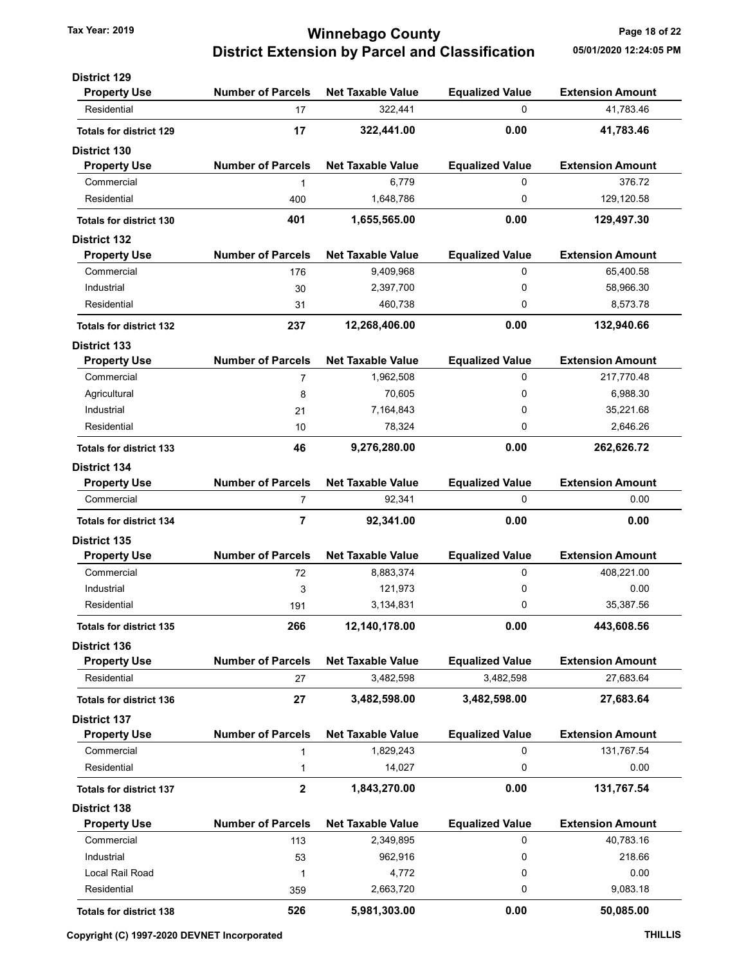### Tax Year: 2019 **Tax Year: 2019 Page 18 of 22** District Extension by Parcel and Classification 05/01/2020 12:24:05 PM

| <b>District 129</b>            |                          |                          |                        |                         |
|--------------------------------|--------------------------|--------------------------|------------------------|-------------------------|
| <b>Property Use</b>            | <b>Number of Parcels</b> | <b>Net Taxable Value</b> | <b>Equalized Value</b> | <b>Extension Amount</b> |
| Residential                    | 17                       | 322,441                  | $\Omega$               | 41,783.46               |
| <b>Totals for district 129</b> | 17                       | 322,441.00               | 0.00                   | 41,783.46               |
| <b>District 130</b>            |                          |                          |                        |                         |
| <b>Property Use</b>            | <b>Number of Parcels</b> | <b>Net Taxable Value</b> | <b>Equalized Value</b> | <b>Extension Amount</b> |
| Commercial                     | 1                        | 6,779                    | $\Omega$               | 376.72                  |
| Residential                    | 400                      | 1,648,786                | 0                      | 129,120.58              |
| <b>Totals for district 130</b> | 401                      | 1,655,565.00             | 0.00                   | 129,497.30              |
| <b>District 132</b>            |                          |                          |                        |                         |
| <b>Property Use</b>            | <b>Number of Parcels</b> | <b>Net Taxable Value</b> | <b>Equalized Value</b> | <b>Extension Amount</b> |
| Commercial                     | 176                      | 9,409,968                | $\Omega$               | 65,400.58               |
| Industrial                     | 30                       | 2,397,700                | 0                      | 58,966.30               |
| Residential                    | 31                       | 460,738                  | 0                      | 8,573.78                |
| <b>Totals for district 132</b> | 237                      | 12,268,406.00            | 0.00                   | 132,940.66              |
| <b>District 133</b>            |                          |                          |                        |                         |
| <b>Property Use</b>            | <b>Number of Parcels</b> | <b>Net Taxable Value</b> | <b>Equalized Value</b> | <b>Extension Amount</b> |
| Commercial                     | 7                        | 1,962,508                | 0                      | 217,770.48              |
| Agricultural                   | 8                        | 70,605                   | 0                      | 6,988.30                |
| Industrial                     | 21                       | 7,164,843                | 0                      | 35,221.68               |
| Residential                    | 10                       | 78,324                   | 0                      | 2,646.26                |
| <b>Totals for district 133</b> | 46                       | 9,276,280.00             | 0.00                   | 262,626.72              |
| <b>District 134</b>            |                          |                          |                        |                         |
| <b>Property Use</b>            | <b>Number of Parcels</b> | <b>Net Taxable Value</b> | <b>Equalized Value</b> | <b>Extension Amount</b> |
| Commercial                     | $\overline{7}$           | 92,341                   | 0                      | 0.00                    |
| <b>Totals for district 134</b> | 7                        | 92,341.00                | 0.00                   | 0.00                    |
| <b>District 135</b>            |                          |                          |                        |                         |
| <b>Property Use</b>            | <b>Number of Parcels</b> | <b>Net Taxable Value</b> | <b>Equalized Value</b> | <b>Extension Amount</b> |
| Commercial                     | 72                       | 8,883,374                | 0                      | 408,221.00              |
| Industrial                     | 3                        | 121,973                  | 0                      | 0.00                    |
| Residential                    | 191                      | 3,134,831                | 0                      | 35,387.56               |
| <b>Totals for district 135</b> | 266                      | 12,140,178.00            | 0.00                   | 443,608.56              |
| <b>District 136</b>            |                          |                          |                        |                         |
| <b>Property Use</b>            | <b>Number of Parcels</b> | <b>Net Taxable Value</b> | <b>Equalized Value</b> | <b>Extension Amount</b> |
| Residential                    | 27                       | 3,482,598                | 3,482,598              | 27,683.64               |
| <b>Totals for district 136</b> | 27                       | 3,482,598.00             | 3,482,598.00           | 27,683.64               |
| <b>District 137</b>            |                          |                          |                        |                         |
| <b>Property Use</b>            | <b>Number of Parcels</b> | <b>Net Taxable Value</b> | <b>Equalized Value</b> | <b>Extension Amount</b> |
| Commercial                     | 1                        | 1,829,243                | 0                      | 131,767.54              |
| Residential                    | $\mathbf{1}$             | 14,027                   | 0                      | 0.00                    |
| <b>Totals for district 137</b> | $\mathbf 2$              | 1,843,270.00             | 0.00                   | 131,767.54              |
| <b>District 138</b>            |                          |                          |                        |                         |
| <b>Property Use</b>            | <b>Number of Parcels</b> | <b>Net Taxable Value</b> | <b>Equalized Value</b> | <b>Extension Amount</b> |
| Commercial                     | 113                      | 2,349,895                | 0                      | 40,783.16               |
| Industrial                     | 53                       | 962,916                  | 0                      | 218.66                  |
| Local Rail Road                | 1                        | 4,772                    | 0                      | 0.00                    |
| Residential                    | 359                      | 2,663,720                | 0                      | 9,083.18                |
| <b>Totals for district 138</b> | 526                      | 5,981,303.00             | 0.00                   | 50,085.00               |
|                                |                          |                          |                        |                         |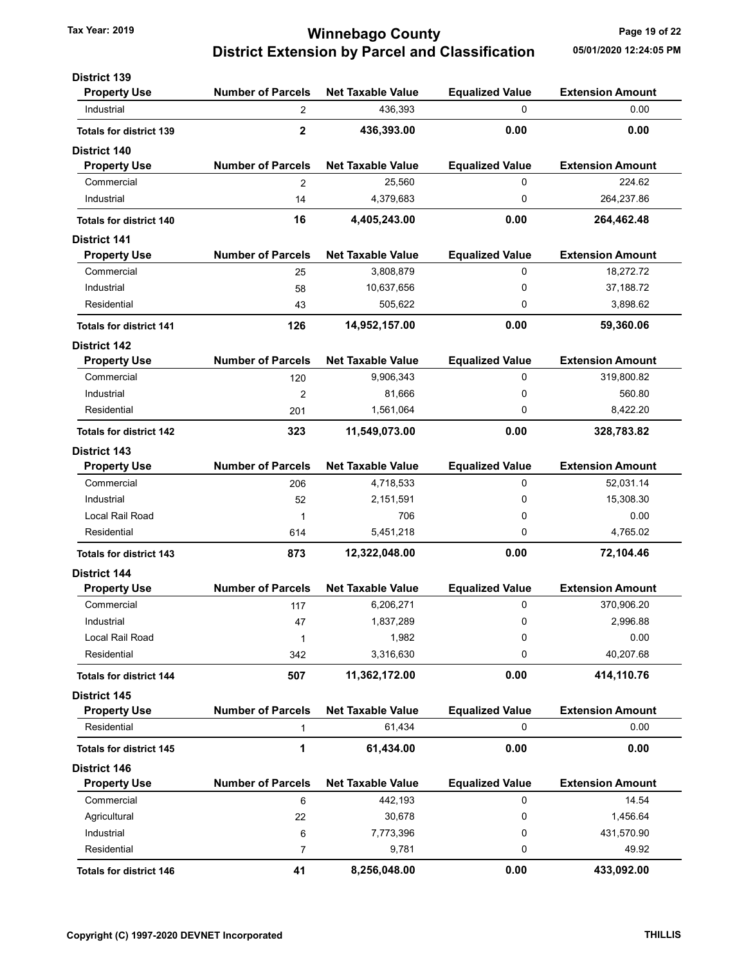### Tax Year: 2019 **Tax Year: 2019 Page 19 of 22** District Extension by Parcel and Classification 05/01/2020 12:24:05 PM

| <b>District 139</b>            |                          |                          |                        |                         |
|--------------------------------|--------------------------|--------------------------|------------------------|-------------------------|
| <b>Property Use</b>            | <b>Number of Parcels</b> | <b>Net Taxable Value</b> | <b>Equalized Value</b> | <b>Extension Amount</b> |
| Industrial                     | 2                        | 436,393                  | $\Omega$               | 0.00                    |
| <b>Totals for district 139</b> | $\overline{2}$           | 436,393.00               | 0.00                   | 0.00                    |
| <b>District 140</b>            |                          |                          |                        |                         |
| <b>Property Use</b>            | <b>Number of Parcels</b> | <b>Net Taxable Value</b> | <b>Equalized Value</b> | <b>Extension Amount</b> |
| Commercial                     | 2                        | 25,560                   | 0                      | 224.62                  |
| Industrial                     | 14                       | 4,379,683                | 0                      | 264,237.86              |
| <b>Totals for district 140</b> | 16                       | 4,405,243.00             | 0.00                   | 264,462.48              |
| <b>District 141</b>            |                          |                          |                        |                         |
| <b>Property Use</b>            | <b>Number of Parcels</b> | <b>Net Taxable Value</b> | <b>Equalized Value</b> | <b>Extension Amount</b> |
| Commercial                     | 25                       | 3,808,879                | 0                      | 18,272.72               |
| Industrial                     | 58                       | 10,637,656               | 0                      | 37,188.72               |
| Residential                    | 43                       | 505,622                  | 0                      | 3,898.62                |
| <b>Totals for district 141</b> | 126                      | 14,952,157.00            | 0.00                   | 59,360.06               |
| <b>District 142</b>            |                          |                          |                        |                         |
| <b>Property Use</b>            | <b>Number of Parcels</b> | <b>Net Taxable Value</b> | <b>Equalized Value</b> | <b>Extension Amount</b> |
| Commercial                     | 120                      | 9,906,343                | 0                      | 319,800.82              |
| Industrial                     | 2                        | 81,666                   | 0                      | 560.80                  |
| Residential                    | 201                      | 1,561,064                | 0                      | 8,422.20                |
| <b>Totals for district 142</b> | 323                      | 11,549,073.00            | 0.00                   | 328,783.82              |
| <b>District 143</b>            |                          |                          |                        |                         |
| <b>Property Use</b>            | <b>Number of Parcels</b> | <b>Net Taxable Value</b> | <b>Equalized Value</b> | <b>Extension Amount</b> |
| Commercial                     | 206                      | 4,718,533                | 0                      | 52,031.14               |
| Industrial                     | 52                       | 2,151,591                | 0                      | 15,308.30               |
| Local Rail Road                | 1                        | 706                      | 0                      | 0.00                    |
| Residential                    | 614                      | 5,451,218                | 0                      | 4,765.02                |
| <b>Totals for district 143</b> | 873                      | 12,322,048.00            | 0.00                   | 72,104.46               |
| <b>District 144</b>            |                          |                          |                        |                         |
| <b>Property Use</b>            | <b>Number of Parcels</b> | <b>Net Taxable Value</b> | <b>Equalized Value</b> | <b>Extension Amount</b> |
| Commercial                     | 117                      | 6,206,271                | 0                      | 370,906.20              |
| Industrial                     | 47                       | 1,837,289                | 0                      | 2,996.88                |
| Local Rail Road                | 1                        | 1,982                    | 0                      | 0.00                    |
| Residential                    | 342                      | 3,316,630                | 0                      | 40,207.68               |
| <b>Totals for district 144</b> | 507                      | 11,362,172.00            | 0.00                   | 414,110.76              |
| <b>District 145</b>            |                          |                          |                        |                         |
| <b>Property Use</b>            | <b>Number of Parcels</b> | <b>Net Taxable Value</b> | <b>Equalized Value</b> | <b>Extension Amount</b> |
| Residential                    | $\mathbf{1}$             | 61,434                   | 0                      | 0.00                    |
| <b>Totals for district 145</b> | 1                        | 61,434.00                | 0.00                   | 0.00                    |
| <b>District 146</b>            |                          |                          |                        |                         |
| <b>Property Use</b>            | <b>Number of Parcels</b> | <b>Net Taxable Value</b> | <b>Equalized Value</b> | <b>Extension Amount</b> |
| Commercial                     | 6                        | 442,193                  | 0                      | 14.54                   |
| Agricultural                   | 22                       | 30,678                   | 0                      | 1,456.64                |
| Industrial                     | 6                        | 7,773,396                | 0                      | 431,570.90              |
| Residential                    | 7                        | 9,781                    | 0                      | 49.92                   |
| <b>Totals for district 146</b> | 41                       | 8,256,048.00             | 0.00                   | 433,092.00              |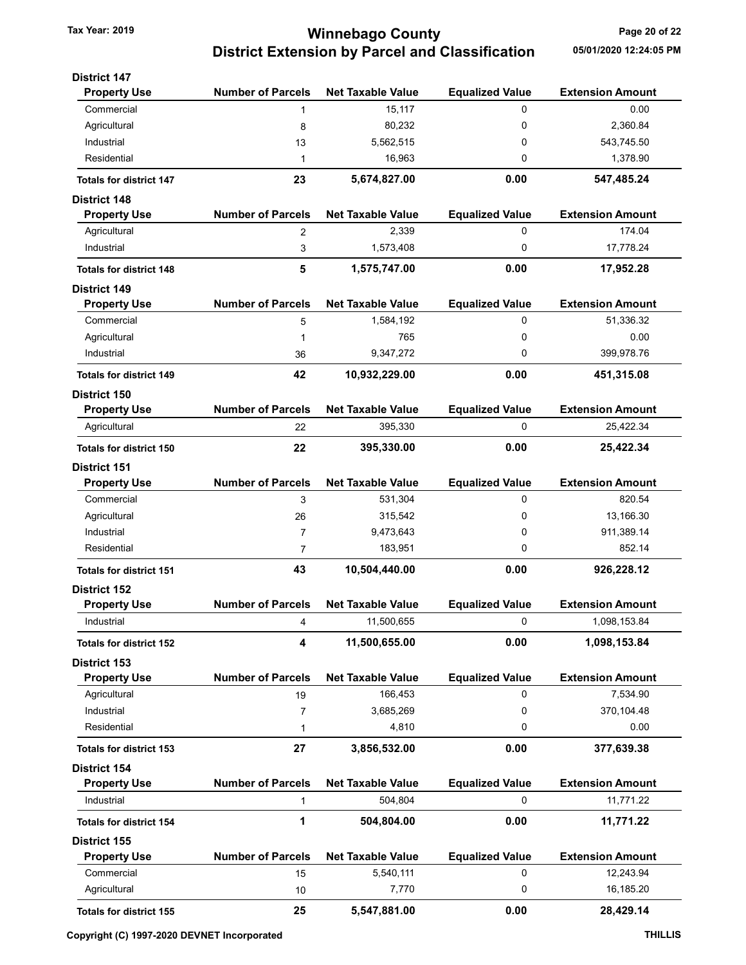## Tax Year: 2019 **Tax Year: 2019** Page 20 of 22 District Extension by Parcel and Classification 05/01/2020 12:24:05 PM

| <b>District 147</b>               | <b>Number of Parcels</b> | <b>Net Taxable Value</b> |                             | <b>Extension Amount</b> |
|-----------------------------------|--------------------------|--------------------------|-----------------------------|-------------------------|
| <b>Property Use</b><br>Commercial | 1                        | 15,117                   | <b>Equalized Value</b><br>0 | 0.00                    |
| Agricultural                      | 8                        | 80,232                   | 0                           | 2,360.84                |
| Industrial                        | 13                       | 5,562,515                | 0                           | 543,745.50              |
| Residential                       | 1                        | 16,963                   | 0                           | 1,378.90                |
| <b>Totals for district 147</b>    | 23                       | 5,674,827.00             | 0.00                        | 547,485.24              |
| <b>District 148</b>               |                          |                          |                             |                         |
| <b>Property Use</b>               | <b>Number of Parcels</b> | <b>Net Taxable Value</b> | <b>Equalized Value</b>      | <b>Extension Amount</b> |
| Agricultural                      | 2                        | 2,339                    | 0                           | 174.04                  |
| Industrial                        | 3                        | 1,573,408                | 0                           | 17,778.24               |
| <b>Totals for district 148</b>    | 5                        | 1,575,747.00             | 0.00                        | 17,952.28               |
| <b>District 149</b>               |                          |                          |                             |                         |
| <b>Property Use</b>               | <b>Number of Parcels</b> | <b>Net Taxable Value</b> | <b>Equalized Value</b>      | <b>Extension Amount</b> |
| Commercial                        | 5                        | 1,584,192                | 0                           | 51,336.32               |
| Agricultural                      | 1                        | 765                      | 0                           | 0.00                    |
| Industrial                        | 36                       | 9,347,272                | 0                           | 399,978.76              |
| <b>Totals for district 149</b>    | 42                       | 10,932,229.00            | 0.00                        | 451,315.08              |
| <b>District 150</b>               |                          |                          |                             |                         |
| <b>Property Use</b>               | <b>Number of Parcels</b> | <b>Net Taxable Value</b> | <b>Equalized Value</b>      | <b>Extension Amount</b> |
| Agricultural                      | 22                       | 395,330                  | 0                           | 25,422.34               |
| <b>Totals for district 150</b>    | 22                       | 395,330.00               | 0.00                        | 25,422.34               |
| <b>District 151</b>               |                          |                          |                             |                         |
| <b>Property Use</b>               | <b>Number of Parcels</b> | <b>Net Taxable Value</b> | <b>Equalized Value</b>      | <b>Extension Amount</b> |
| Commercial                        | 3                        | 531,304                  | 0                           | 820.54                  |
| Agricultural                      | 26                       | 315,542                  | 0                           | 13,166.30               |
| Industrial                        | 7                        | 9,473,643                | 0                           | 911,389.14              |
| Residential                       | 7                        | 183,951                  | 0                           | 852.14                  |
| <b>Totals for district 151</b>    | 43                       | 10,504,440.00            | 0.00                        | 926,228.12              |
| <b>District 152</b>               |                          |                          |                             |                         |
| <b>Property Use</b>               | <b>Number of Parcels</b> | <b>Net Taxable Value</b> | <b>Equalized Value</b>      | <b>Extension Amount</b> |
| Industrial                        | 4                        | 11,500,655               | 0                           | 1,098,153.84            |
| <b>Totals for district 152</b>    | 4                        | 11,500,655.00            | 0.00                        | 1,098,153.84            |
| <b>District 153</b>               |                          |                          |                             |                         |
| <b>Property Use</b>               | <b>Number of Parcels</b> | <b>Net Taxable Value</b> | <b>Equalized Value</b>      | <b>Extension Amount</b> |
| Agricultural                      | 19                       | 166,453                  | 0                           | 7,534.90                |
| Industrial<br>Residential         | 7<br>1                   | 3,685,269<br>4,810       | 0<br>0                      | 370,104.48<br>0.00      |
| <b>Totals for district 153</b>    | 27                       | 3,856,532.00             | 0.00                        | 377,639.38              |
| <b>District 154</b>               |                          |                          |                             |                         |
| <b>Property Use</b>               | <b>Number of Parcels</b> | <b>Net Taxable Value</b> | <b>Equalized Value</b>      | <b>Extension Amount</b> |
| Industrial                        | 1                        | 504,804                  | 0                           | 11,771.22               |
| <b>Totals for district 154</b>    | 1                        | 504,804.00               | 0.00                        | 11,771.22               |
| <b>District 155</b>               |                          |                          |                             |                         |
| <b>Property Use</b>               | <b>Number of Parcels</b> | <b>Net Taxable Value</b> | <b>Equalized Value</b>      | <b>Extension Amount</b> |
| Commercial                        | 15                       | 5,540,111                | 0                           | 12,243.94               |
| Agricultural                      | 10                       | 7,770                    | 0                           | 16,185.20               |
| <b>Totals for district 155</b>    | 25                       | 5,547,881.00             | 0.00                        | 28,429.14               |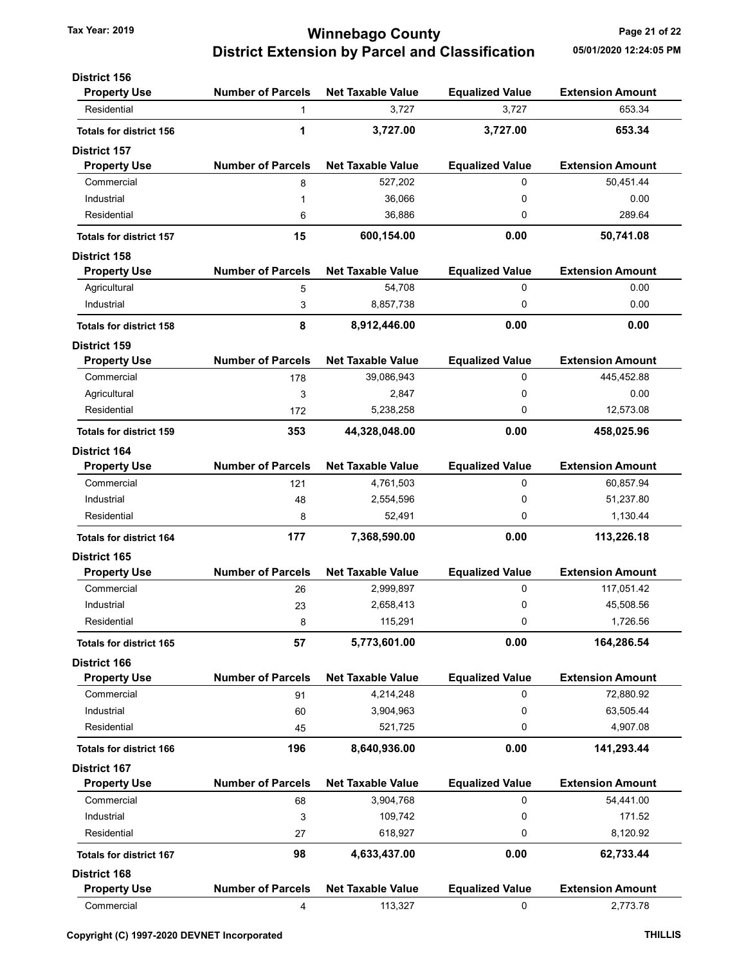District 156

### Tax Year: 2019 **Tax Year: 2019 Page 21 of 22** District Extension by Parcel and Classification 05/01/2020 12:24:05 PM

| <b>Property Use</b>            | <b>Number of Parcels</b> | <b>Net Taxable Value</b> | <b>Equalized Value</b> | <b>Extension Amount</b> |
|--------------------------------|--------------------------|--------------------------|------------------------|-------------------------|
| Residential                    | 1                        | 3,727                    | 3,727                  | 653.34                  |
| <b>Totals for district 156</b> | 1                        | 3,727.00                 | 3,727.00               | 653.34                  |
| <b>District 157</b>            |                          |                          |                        |                         |
| <b>Property Use</b>            | <b>Number of Parcels</b> | <b>Net Taxable Value</b> | <b>Equalized Value</b> | <b>Extension Amount</b> |
| Commercial                     | 8                        | 527,202                  | 0                      | 50,451.44               |
| Industrial                     | 1                        | 36,066                   | 0                      | 0.00                    |
| Residential                    | 6                        | 36,886                   | 0                      | 289.64                  |
| <b>Totals for district 157</b> | 15                       | 600,154.00               | 0.00                   | 50,741.08               |
| <b>District 158</b>            |                          |                          |                        |                         |
| <b>Property Use</b>            | <b>Number of Parcels</b> | <b>Net Taxable Value</b> | <b>Equalized Value</b> | <b>Extension Amount</b> |
| Agricultural                   | 5                        | 54,708                   | 0                      | 0.00                    |
| Industrial                     | 3                        | 8,857,738                | 0                      | 0.00                    |
| <b>Totals for district 158</b> | 8                        | 8,912,446.00             | 0.00                   | 0.00                    |
| <b>District 159</b>            |                          |                          |                        |                         |
| <b>Property Use</b>            | <b>Number of Parcels</b> | <b>Net Taxable Value</b> | <b>Equalized Value</b> | <b>Extension Amount</b> |
| Commercial                     | 178                      | 39,086,943               | 0                      | 445,452.88              |
| Agricultural                   | 3                        | 2,847                    | 0                      | 0.00                    |
| Residential                    | 172                      | 5,238,258                | 0                      | 12,573.08               |
| <b>Totals for district 159</b> | 353                      | 44,328,048.00            | 0.00                   | 458,025.96              |
| District 164                   |                          |                          |                        |                         |
| <b>Property Use</b>            | <b>Number of Parcels</b> | <b>Net Taxable Value</b> | <b>Equalized Value</b> | <b>Extension Amount</b> |
| Commercial                     | 121                      | 4,761,503                | 0                      | 60,857.94               |
| Industrial                     | 48                       | 2,554,596                | 0                      | 51,237.80               |
| Residential                    | 8                        | 52,491                   | 0                      | 1,130.44                |
| <b>Totals for district 164</b> | 177                      | 7,368,590.00             | 0.00                   | 113,226.18              |
| <b>District 165</b>            |                          |                          |                        |                         |
| <b>Property Use</b>            | <b>Number of Parcels</b> | <b>Net Taxable Value</b> | <b>Equalized Value</b> | <b>Extension Amount</b> |
| Commercial                     | 26                       | 2,999,897                | 0                      | 117,051.42              |
| Industrial                     | 23                       | 2,658,413                | 0                      | 45,508.56               |
| Residential                    | 8                        | 115,291                  | 0                      | 1,726.56                |
| <b>Totals for district 165</b> | 57                       | 5,773,601.00             | 0.00                   | 164,286.54              |
| District 166                   |                          |                          |                        |                         |
| <b>Property Use</b>            | <b>Number of Parcels</b> | <b>Net Taxable Value</b> | <b>Equalized Value</b> | <b>Extension Amount</b> |
| Commercial                     | 91                       | 4,214,248                | 0                      | 72,880.92               |
| Industrial                     | 60                       | 3,904,963                | 0                      | 63,505.44               |
| Residential                    | 45                       | 521,725                  | 0                      | 4,907.08                |
| <b>Totals for district 166</b> | 196                      | 8,640,936.00             | 0.00                   | 141,293.44              |
| <b>District 167</b>            |                          |                          |                        |                         |
| <b>Property Use</b>            | <b>Number of Parcels</b> | <b>Net Taxable Value</b> | <b>Equalized Value</b> | <b>Extension Amount</b> |
| Commercial                     | 68                       | 3,904,768                | 0                      | 54,441.00               |
| Industrial                     | 3                        | 109,742                  | 0                      | 171.52                  |
| Residential                    | 27                       | 618,927                  | 0                      | 8,120.92                |
| <b>Totals for district 167</b> | 98                       | 4,633,437.00             | 0.00                   | 62,733.44               |
| <b>District 168</b>            |                          |                          |                        |                         |
| <b>Property Use</b>            | <b>Number of Parcels</b> | <b>Net Taxable Value</b> | <b>Equalized Value</b> | <b>Extension Amount</b> |
| Commercial                     | 4                        | 113,327                  | 0                      | 2,773.78                |